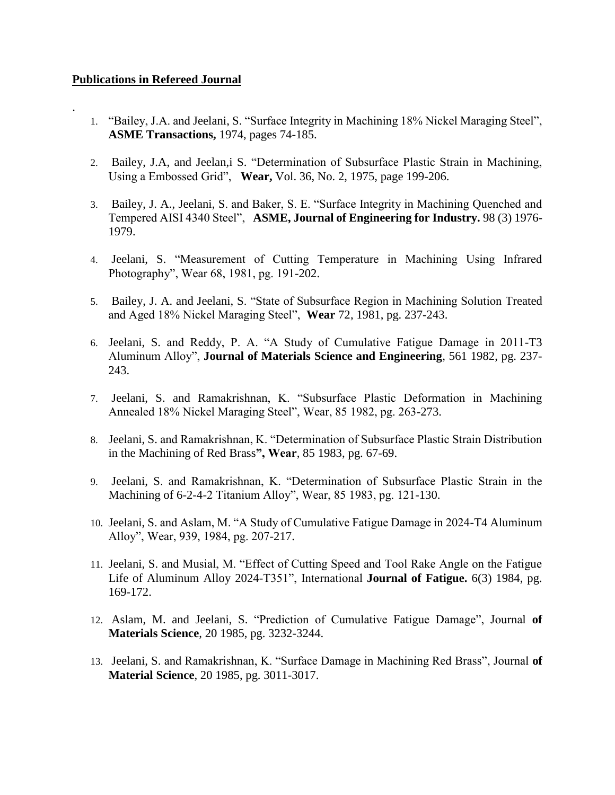## **Publications in Refereed Journal**

.

- 1. "Bailey, J.A. and Jeelani, S. "Surface Integrity in Machining 18% Nickel Maraging Steel", **ASME Transactions,** 1974, pages 74-185.
- 2. Bailey, J.A, and Jeelan,i S. "Determination of Subsurface Plastic Strain in Machining, Using a Embossed Grid", **Wear,** Vol. 36, No. 2, 1975, page 199-206.
- 3. Bailey, J. A., Jeelani, S. and Baker, S. E. "Surface Integrity in Machining Quenched and Tempered AISI 4340 Steel", **ASME, Journal of Engineering for Industry.** 98 (3) 1976- 1979.
- 4. Jeelani, S. "Measurement of Cutting Temperature in Machining Using Infrared Photography", Wear 68, 1981, pg. 191-202.
- 5. Bailey, J. A. and Jeelani, S. "State of Subsurface Region in Machining Solution Treated and Aged 18% Nickel Maraging Steel", **Wear** 72, 1981, pg. 237-243.
- 6. Jeelani, S. and Reddy, P. A. "A Study of Cumulative Fatigue Damage in 2011-T3 Aluminum Alloy", **Journal of Materials Science and Engineering**, 561 1982, pg. 237- 243.
- 7. Jeelani, S. and Ramakrishnan, K. "Subsurface Plastic Deformation in Machining Annealed 18% Nickel Maraging Steel", Wear, 85 1982, pg. 263-273.
- 8. Jeelani, S. and Ramakrishnan, K. "Determination of Subsurface Plastic Strain Distribution in the Machining of Red Brass**", Wear**, 85 1983, pg. 67-69.
- 9. Jeelani, S. and Ramakrishnan, K. "Determination of Subsurface Plastic Strain in the Machining of 6-2-4-2 Titanium Alloy", Wear, 85 1983, pg. 121-130.
- 10. Jeelani, S. and Aslam, M. "A Study of Cumulative Fatigue Damage in 2024-T4 Aluminum Alloy", Wear, 939, 1984, pg. 207-217.
- 11. Jeelani, S. and Musial, M. "Effect of Cutting Speed and Tool Rake Angle on the Fatigue Life of Aluminum Alloy 2024-T351", International **Journal of Fatigue.** 6(3) 1984, pg. 169-172.
- 12. Aslam, M. and Jeelani, S. "Prediction of Cumulative Fatigue Damage", Journal **of Materials Science**, 20 1985, pg. 3232-3244.
- 13. Jeelani, S. and Ramakrishnan, K. "Surface Damage in Machining Red Brass", Journal **of Material Science**, 20 1985, pg. 3011-3017.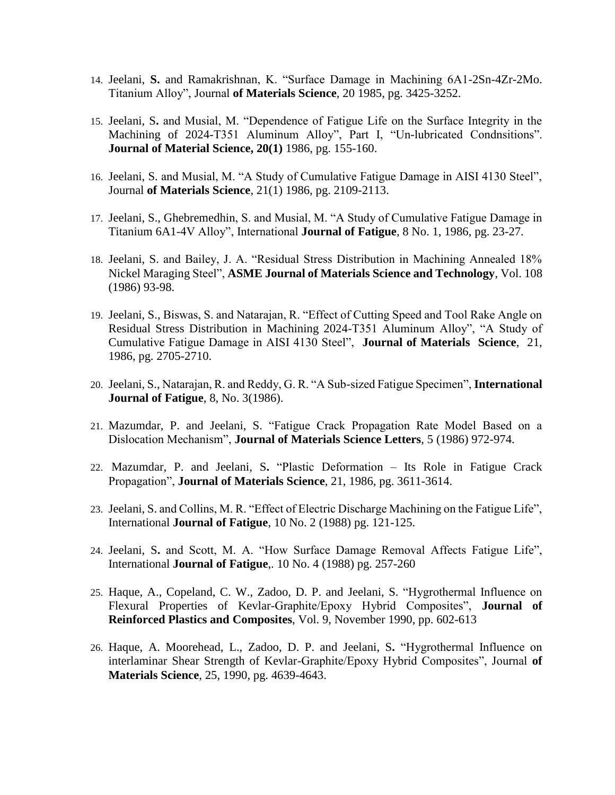- 14. Jeelani, **S.** and Ramakrishnan, K. "Surface Damage in Machining 6A1-2Sn-4Zr-2Mo. Titanium Alloy", Journal **of Materials Science**, 20 1985, pg. 3425-3252.
- 15. Jeelani, S**.** and Musial, M. "Dependence of Fatigue Life on the Surface Integrity in the Machining of 2024-T351 Aluminum Alloy", Part I, "Un-lubricated Condnsitions". **Journal of Material Science, 20(1)** 1986, pg. 155-160.
- 16. Jeelani, S. and Musial, M. "A Study of Cumulative Fatigue Damage in AISI 4130 Steel", Journal **of Materials Science**, 21(1) 1986, pg. 2109-2113.
- 17. Jeelani, S., Ghebremedhin, S. and Musial, M. "A Study of Cumulative Fatigue Damage in Titanium 6A1-4V Alloy", International **Journal of Fatigue**, 8 No. 1, 1986, pg. 23-27.
- 18. Jeelani, S. and Bailey, J. A. "Residual Stress Distribution in Machining Annealed 18% Nickel Maraging Steel", **ASME Journal of Materials Science and Technology**, Vol. 108 (1986) 93-98.
- 19. Jeelani, S., Biswas, S. and Natarajan, R. "Effect of Cutting Speed and Tool Rake Angle on Residual Stress Distribution in Machining 2024-T351 Aluminum Alloy", "A Study of Cumulative Fatigue Damage in AISI 4130 Steel", **Journal of Materials Science**, 21, 1986, pg. 2705-2710.
- 20. Jeelani, S., Natarajan, R. and Reddy, G. R. "A Sub-sized Fatigue Specimen", **International Journal of Fatigue**, 8, No. 3(1986).
- 21. Mazumdar, P. and Jeelani, S. "Fatigue Crack Propagation Rate Model Based on a Dislocation Mechanism", **Journal of Materials Science Letters**, 5 (1986) 972-974.
- 22. Mazumdar, P. and Jeelani, S**.** "Plastic Deformation Its Role in Fatigue Crack Propagation", **Journal of Materials Science**, 21, 1986, pg. 3611-3614.
- 23. Jeelani, S. and Collins, M. R. "Effect of Electric Discharge Machining on the Fatigue Life", International **Journal of Fatigue**, 10 No. 2 (1988) pg. 121-125.
- 24. Jeelani, S**.** and Scott, M. A. "How Surface Damage Removal Affects Fatigue Life", International **Journal of Fatigue**,. 10 No. 4 (1988) pg. 257-260
- 25. Haque, A., Copeland, C. W., Zadoo, D. P. and Jeelani, S. "Hygrothermal Influence on Flexural Properties of Kevlar-Graphite/Epoxy Hybrid Composites", **Journal of Reinforced Plastics and Composites**, Vol. 9, November 1990, pp. 602-613
- 26. Haque, A. Moorehead, L., Zadoo, D. P. and Jeelani, S**.** "Hygrothermal Influence on interlaminar Shear Strength of Kevlar-Graphite/Epoxy Hybrid Composites", Journal **of Materials Science**, 25, 1990, pg. 4639-4643.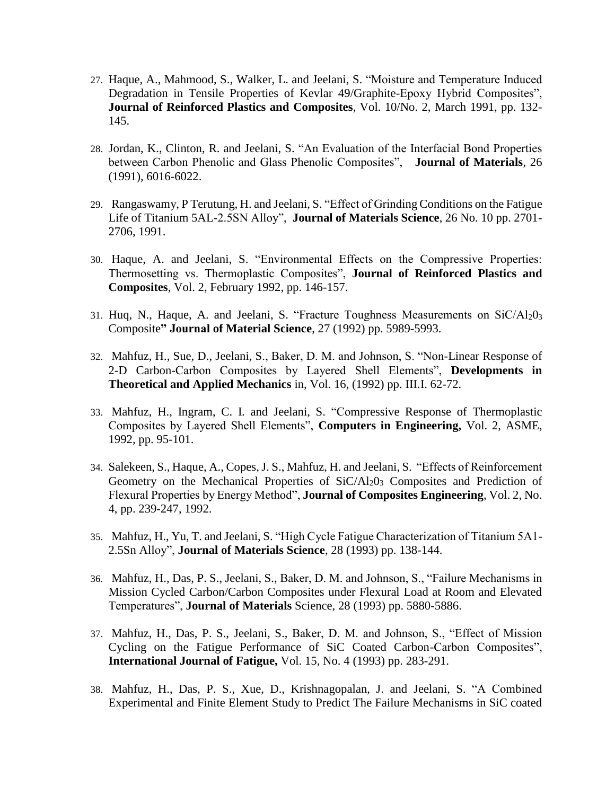- 27. Haque, A., Mahmood, S., Walker, L. and Jeelani, S. "Moisture and Temperature Induced Degradation in Tensile Properties of Kevlar 49/Graphite-Epoxy Hybrid Composites", **Journal of Reinforced Plastics and Composites**, Vol. 10/No. 2, March 1991, pp. 132- 145.
- 28. Jordan, K., Clinton, R. and Jeelani, S. "An Evaluation of the Interfacial Bond Properties between Carbon Phenolic and Glass Phenolic Composites", **Journal of Materials**, 26 (1991), 6016-6022.
- 29. Rangaswamy, P Terutung, H. and Jeelani, S. "Effect of Grinding Conditions on the Fatigue Life of Titanium 5AL-2.5SN Alloy", **Journal of Materials Science**, 26 No. 10 pp. 2701- 2706, 1991.
- 30. Haque, A. and Jeelani, S. "Environmental Effects on the Compressive Properties: Thermosetting vs. Thermoplastic Composites", **Journal of Reinforced Plastics and Composites**, Vol. 2, February 1992, pp. 146-157.
- 31. Huq, N., Haque, A. and Jeelani, S. "Fracture Toughness Measurements on SiC/Al20<sup>3</sup> Composite**" Journal of Material Science**, 27 (1992) pp. 5989-5993.
- 32. Mahfuz, H., Sue, D., Jeelani, S., Baker, D. M. and Johnson, S. "Non-Linear Response of 2-D Carbon-Carbon Composites by Layered Shell Elements", **Developments in Theoretical and Applied Mechanics** in, Vol. 16, (1992) pp. III.I. 62-72.
- 33. Mahfuz, H., Ingram, C. I. and Jeelani, S. "Compressive Response of Thermoplastic Composites by Layered Shell Elements", **Computers in Engineering,** Vol. 2, ASME, 1992, pp. 95-101.
- 34. Salekeen, S., Haque, A., Copes, J. S., Mahfuz, H. and Jeelani, S. "Effects of Reinforcement Geometry on the Mechanical Properties of SiC/Al<sub>2</sub>0<sub>3</sub> Composites and Prediction of Flexural Properties by Energy Method", **Journal of Composites Engineering**, Vol. 2, No. 4, pp. 239-247, 1992.
- 35. Mahfuz, H., Yu, T. and Jeelani, S. "High Cycle Fatigue Characterization of Titanium 5A1- 2.5Sn Alloy", **Journal of Materials Science**, 28 (1993) pp. 138-144.
- 36. Mahfuz, H., Das, P. S., Jeelani, S., Baker, D. M. and Johnson, S., "Failure Mechanisms in Mission Cycled Carbon/Carbon Composites under Flexural Load at Room and Elevated Temperatures", **Journal of Materials** Science, 28 (1993) pp. 5880-5886.
- 37. Mahfuz, H., Das, P. S., Jeelani, S., Baker, D. M. and Johnson, S., "Effect of Mission Cycling on the Fatigue Performance of SiC Coated Carbon-Carbon Composites", **International Journal of Fatigue,** Vol. 15, No. 4 (1993) pp. 283-291.
- 38. Mahfuz, H., Das, P. S., Xue, D., Krishnagopalan, J. and Jeelani, S. "A Combined Experimental and Finite Element Study to Predict The Failure Mechanisms in SiC coated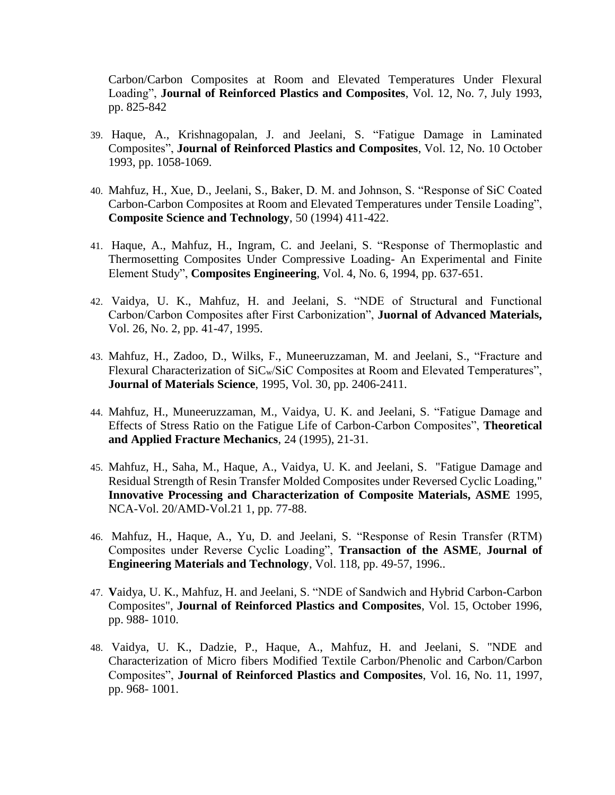Carbon/Carbon Composites at Room and Elevated Temperatures Under Flexural Loading", **Journal of Reinforced Plastics and Composites**, Vol. 12, No. 7, July 1993, pp. 825-842

- 39. Haque, A., Krishnagopalan, J. and Jeelani, S. "Fatigue Damage in Laminated Composites", **Journal of Reinforced Plastics and Composites**, Vol. 12, No. 10 October 1993, pp. 1058-1069.
- 40. Mahfuz, H., Xue, D., Jeelani, S., Baker, D. M. and Johnson, S. "Response of SiC Coated Carbon-Carbon Composites at Room and Elevated Temperatures under Tensile Loading", **Composite Science and Technology**, 50 (1994) 411-422.
- 41. Haque, A., Mahfuz, H., Ingram, C. and Jeelani, S. "Response of Thermoplastic and Thermosetting Composites Under Compressive Loading- An Experimental and Finite Element Study", **Composites Engineering**, Vol. 4, No. 6, 1994, pp. 637-651.
- 42. Vaidya, U. K., Mahfuz, H. and Jeelani, S. "NDE of Structural and Functional Carbon/Carbon Composites after First Carbonization", **Juornal of Advanced Materials,** Vol. 26, No. 2, pp. 41-47, 1995.
- 43. Mahfuz, H., Zadoo, D., Wilks, F., Muneeruzzaman, M. and Jeelani, S., "Fracture and Flexural Characterization of SiC<sub>w</sub>/SiC Composites at Room and Elevated Temperatures", **Journal of Materials Science**, 1995, Vol. 30, pp. 2406-2411.
- 44. Mahfuz, H., Muneeruzzaman, M., Vaidya, U. K. and Jeelani, S. "Fatigue Damage and Effects of Stress Ratio on the Fatigue Life of Carbon-Carbon Composites", **Theoretical and Applied Fracture Mechanics**, 24 (1995), 21-31.
- 45. Mahfuz, H., Saha, M., Haque, A., Vaidya, U. K. and Jeelani, S. "Fatigue Damage and Residual Strength of Resin Transfer Molded Composites under Reversed Cyclic Loading," **Innovative Processing and Characterization of Composite Materials, ASME** 1995, NCA-Vol. 20/AMD-Vol.21 1, pp. 77-88.
- 46. Mahfuz, H., Haque, A., Yu, D. and Jeelani, S. "Response of Resin Transfer (RTM) Composites under Reverse Cyclic Loading", **Transaction of the ASME**, **Journal of Engineering Materials and Technology**, Vol. 118, pp. 49-57, 1996..
- 47. **V**aidya, U. K., Mahfuz, H. and Jeelani, S. "NDE of Sandwich and Hybrid Carbon-Carbon Composites", **Journal of Reinforced Plastics and Composites**, Vol. 15, October 1996, pp. 988- 1010.
- 48. Vaidya, U. K., Dadzie, P., Haque, A., Mahfuz, H. and Jeelani, S. "NDE and Characterization of Micro fibers Modified Textile Carbon/Phenolic and Carbon/Carbon Composites", **Journal of Reinforced Plastics and Composites**, Vol. 16, No. 11, 1997, pp. 968- 1001.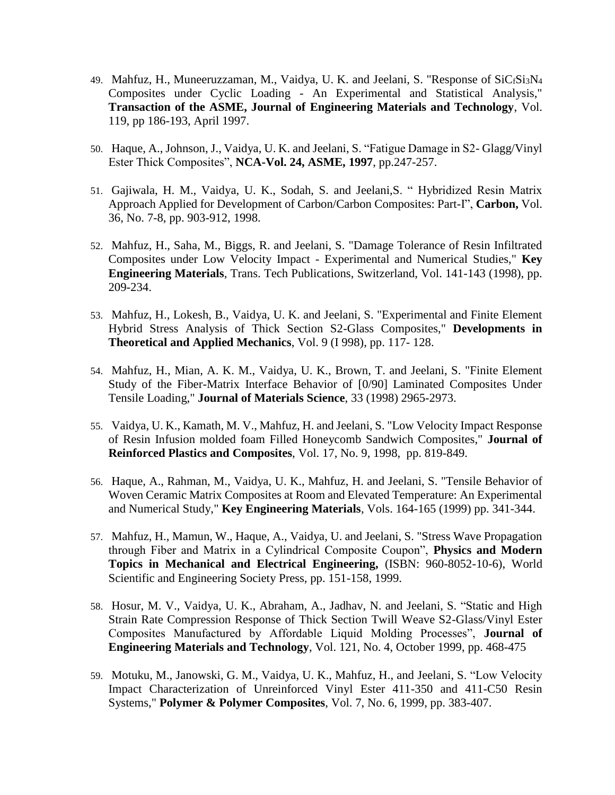- 49. Mahfuz, H., Muneeruzzaman, M., Vaidya, U. K. and Jeelani, S. "Response of SiC<sub>f</sub>Si<sub>3</sub>N<sub>4</sub> Composites under Cyclic Loading - An Experimental and Statistical Analysis," **Transaction of the ASME, Journal of Engineering Materials and Technology**, Vol. 119, pp 186-193, April 1997.
- 50. Haque, A., Johnson, J., Vaidya, U. K. and Jeelani, S. "Fatigue Damage in S2- Glagg/Vinyl Ester Thick Composites", **NCA-Vol. 24, ASME, 1997**, pp.247-257.
- 51. Gajiwala, H. M., Vaidya, U. K., Sodah, S. and Jeelani,S. " Hybridized Resin Matrix Approach Applied for Development of Carbon/Carbon Composites: Part-I", **Carbon,** Vol. 36, No. 7-8, pp. 903-912, 1998.
- 52. Mahfuz, H., Saha, M., Biggs, R. and Jeelani, S. "Damage Tolerance of Resin Infiltrated Composites under Low Velocity Impact - Experimental and Numerical Studies," **Key Engineering Materials**, Trans. Tech Publications, Switzerland, Vol. 141-143 (1998), pp. 209-234.
- 53. Mahfuz, H., Lokesh, B., Vaidya, U. K. and Jeelani, S. "Experimental and Finite Element Hybrid Stress Analysis of Thick Section S2-Glass Composites," **Developments in Theoretical and Applied Mechanics**, Vol. 9 (I 998), pp. 117- 128.
- 54. Mahfuz, H., Mian, A. K. M., Vaidya, U. K., Brown, T. and Jeelani, S. "Finite Element Study of the Fiber-Matrix Interface Behavior of [0/90] Laminated Composites Under Tensile Loading," **Journal of Materials Science**, 33 (1998) 2965-2973.
- 55. Vaidya, U. K., Kamath, M. V., Mahfuz, H. and Jeelani, S. "Low Velocity Impact Response of Resin Infusion molded foam Filled Honeycomb Sandwich Composites," **Journal of Reinforced Plastics and Composites**, Vol. 17, No. 9, 1998, pp. 819-849.
- 56. Haque, A., Rahman, M., Vaidya, U. K., Mahfuz, H. and Jeelani, S. "Tensile Behavior of Woven Ceramic Matrix Composites at Room and Elevated Temperature: An Experimental and Numerical Study," **Key Engineering Materials**, Vols. 164-165 (1999) pp. 341-344.
- 57. Mahfuz, H., Mamun, W., Haque, A., Vaidya, U. and Jeelani, S. "Stress Wave Propagation through Fiber and Matrix in a Cylindrical Composite Coupon", **Physics and Modern Topics in Mechanical and Electrical Engineering,** (ISBN: 960-8052-10-6), World Scientific and Engineering Society Press, pp. 151-158, 1999.
- 58. Hosur, M. V., Vaidya, U. K., Abraham, A., Jadhav, N. and Jeelani, S. "Static and High Strain Rate Compression Response of Thick Section Twill Weave S2-Glass/Vinyl Ester Composites Manufactured by Affordable Liquid Molding Processes", **Journal of Engineering Materials and Technology**, Vol. 121, No. 4, October 1999, pp. 468-475
- 59. Motuku, M., Janowski, G. M., Vaidya, U. K., Mahfuz, H., and Jeelani, S. "Low Velocity Impact Characterization of Unreinforced Vinyl Ester 411-350 and 411-C50 Resin Systems," **Polymer & Polymer Composites**, Vol. 7, No. 6, 1999, pp. 383-407.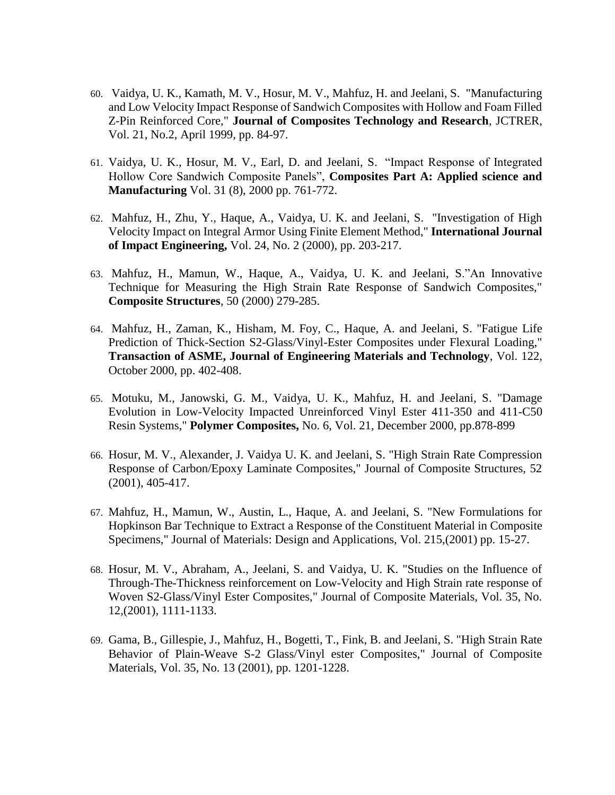- 60. Vaidya, U. K., Kamath, M. V., Hosur, M. V., Mahfuz, H. and Jeelani, S. "Manufacturing and Low Velocity Impact Response of Sandwich Composites with Hollow and Foam Filled Z-Pin Reinforced Core," **Journal of Composites Technology and Research**, JCTRER, Vol. 21, No.2, April 1999, pp. 84-97.
- 61. Vaidya, U. K., Hosur, M. V., Earl, D. and Jeelani, S. "Impact Response of Integrated Hollow Core Sandwich Composite Panels", **Composites Part A: Applied science and Manufacturing** Vol. 31 (8), 2000 pp. 761-772.
- 62. Mahfuz, H., Zhu, Y., Haque, A., Vaidya, U. K. and Jeelani, S. "Investigation of High Velocity Impact on Integral Armor Using Finite Element Method," **International Journal of Impact Engineering,** Vol. 24, No. 2 (2000), pp. 203-217.
- 63. Mahfuz, H., Mamun, W., Haque, A., Vaidya, U. K. and Jeelani, S."An Innovative Technique for Measuring the High Strain Rate Response of Sandwich Composites," **Composite Structures**, 50 (2000) 279-285.
- 64. Mahfuz, H., Zaman, K., Hisham, M. Foy, C., Haque, A. and Jeelani, S. "Fatigue Life Prediction of Thick-Section S2-Glass/Vinyl-Ester Composites under Flexural Loading," **Transaction of ASME, Journal of Engineering Materials and Technology**, Vol. 122, October 2000, pp. 402-408.
- 65. Motuku, M., Janowski, G. M., Vaidya, U. K., Mahfuz, H. and Jeelani, S. "Damage Evolution in Low-Velocity Impacted Unreinforced Vinyl Ester 411-350 and 411-C50 Resin Systems," **Polymer Composites,** No. 6, Vol. 21, December 2000, pp.878-899
- 66. Hosur, M. V., Alexander, J. Vaidya U. K. and Jeelani, S. "High Strain Rate Compression Response of Carbon/Epoxy Laminate Composites," Journal of Composite Structures, 52 (2001), 405-417.
- 67. Mahfuz, H., Mamun, W., Austin, L., Haque, A. and Jeelani, S. "New Formulations for Hopkinson Bar Technique to Extract a Response of the Constituent Material in Composite Specimens," Journal of Materials: Design and Applications, Vol. 215,(2001) pp. 15-27.
- 68. Hosur, M. V., Abraham, A., Jeelani, S. and Vaidya, U. K. "Studies on the Influence of Through-The-Thickness reinforcement on Low-Velocity and High Strain rate response of Woven S2-Glass/Vinyl Ester Composites," Journal of Composite Materials, Vol. 35, No. 12,(2001), 1111-1133.
- 69. Gama, B., Gillespie, J., Mahfuz, H., Bogetti, T., Fink, B. and Jeelani, S. "High Strain Rate Behavior of Plain-Weave S-2 Glass/Vinyl ester Composites," Journal of Composite Materials, Vol. 35, No. 13 (2001), pp. 1201-1228.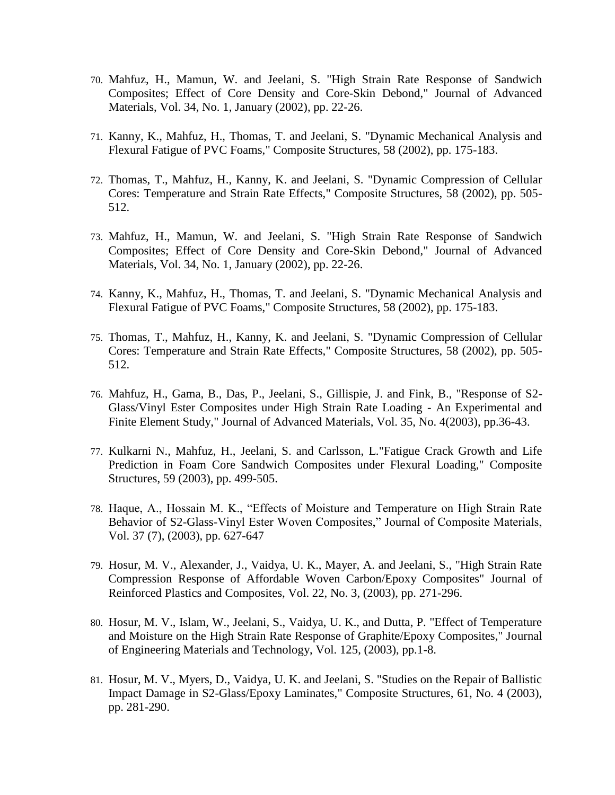- 70. Mahfuz, H., Mamun, W. and Jeelani, S. "High Strain Rate Response of Sandwich Composites; Effect of Core Density and Core-Skin Debond," Journal of Advanced Materials, Vol. 34, No. 1, January (2002), pp. 22-26.
- 71. Kanny, K., Mahfuz, H., Thomas, T. and Jeelani, S. "Dynamic Mechanical Analysis and Flexural Fatigue of PVC Foams," Composite Structures, 58 (2002), pp. 175-183.
- 72. Thomas, T., Mahfuz, H., Kanny, K. and Jeelani, S. "Dynamic Compression of Cellular Cores: Temperature and Strain Rate Effects," Composite Structures, 58 (2002), pp. 505- 512.
- 73. Mahfuz, H., Mamun, W. and Jeelani, S. "High Strain Rate Response of Sandwich Composites; Effect of Core Density and Core-Skin Debond," Journal of Advanced Materials, Vol. 34, No. 1, January (2002), pp. 22-26.
- 74. Kanny, K., Mahfuz, H., Thomas, T. and Jeelani, S. "Dynamic Mechanical Analysis and Flexural Fatigue of PVC Foams," Composite Structures, 58 (2002), pp. 175-183.
- 75. Thomas, T., Mahfuz, H., Kanny, K. and Jeelani, S. "Dynamic Compression of Cellular Cores: Temperature and Strain Rate Effects," Composite Structures, 58 (2002), pp. 505- 512.
- 76. Mahfuz, H., Gama, B., Das, P., Jeelani, S., Gillispie, J. and Fink, B., "Response of S2- Glass/Vinyl Ester Composites under High Strain Rate Loading - An Experimental and Finite Element Study," Journal of Advanced Materials, Vol. 35, No. 4(2003), pp.36-43.
- 77. Kulkarni N., Mahfuz, H., Jeelani, S. and Carlsson, L."Fatigue Crack Growth and Life Prediction in Foam Core Sandwich Composites under Flexural Loading," Composite Structures, 59 (2003), pp. 499-505.
- 78. Haque, A., Hossain M. K., "Effects of Moisture and Temperature on High Strain Rate Behavior of S2-Glass-Vinyl Ester Woven Composites," Journal of Composite Materials, Vol. 37 (7), (2003), pp. 627-647
- 79. Hosur, M. V., Alexander, J., Vaidya, U. K., Mayer, A. and Jeelani, S., "High Strain Rate Compression Response of Affordable Woven Carbon/Epoxy Composites" Journal of Reinforced Plastics and Composites, Vol. 22, No. 3, (2003), pp. 271-296.
- 80. Hosur, M. V., Islam, W., Jeelani, S., Vaidya, U. K., and Dutta, P. "Effect of Temperature and Moisture on the High Strain Rate Response of Graphite/Epoxy Composites," Journal of Engineering Materials and Technology, Vol. 125, (2003), pp.1-8.
- 81. Hosur, M. V., Myers, D., Vaidya, U. K. and Jeelani, S. "Studies on the Repair of Ballistic Impact Damage in S2-Glass/Epoxy Laminates," Composite Structures, 61, No. 4 (2003), pp. 281-290.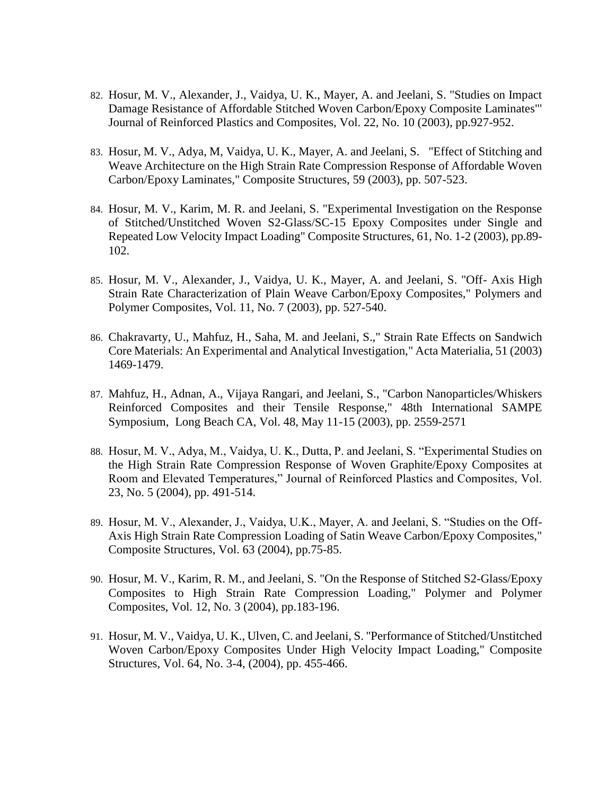- 82. Hosur, M. V., Alexander, J., Vaidya, U. K., Mayer, A. and Jeelani, S. "Studies on Impact Damage Resistance of Affordable Stitched Woven Carbon/Epoxy Composite Laminates"' Journal of Reinforced Plastics and Composites, Vol. 22, No. 10 (2003), pp.927-952.
- 83. Hosur, M. V., Adya, M, Vaidya, U. K., Mayer, A. and Jeelani, S. "Effect of Stitching and Weave Architecture on the High Strain Rate Compression Response of Affordable Woven Carbon/Epoxy Laminates," Composite Structures, 59 (2003), pp. 507-523.
- 84. Hosur, M. V., Karim, M. R. and Jeelani, S. "Experimental Investigation on the Response of Stitched/Unstitched Woven S2-Glass/SC-15 Epoxy Composites under Single and Repeated Low Velocity Impact Loading" Composite Structures, 61, No. 1-2 (2003), pp.89- 102.
- 85. Hosur, M. V., Alexander, J., Vaidya, U. K., Mayer, A. and Jeelani, S. "Off- Axis High Strain Rate Characterization of Plain Weave Carbon/Epoxy Composites," Polymers and Polymer Composites, Vol. 11, No. 7 (2003), pp. 527-540.
- 86. Chakravarty, U., Mahfuz, H., Saha, M. and Jeelani, S.," Strain Rate Effects on Sandwich Core Materials: An Experimental and Analytical Investigation," Acta Materialia, 51 (2003) 1469-1479.
- 87. Mahfuz, H., Adnan, A., Vijaya Rangari, and Jeelani, S., "Carbon Nanoparticles/Whiskers Reinforced Composites and their Tensile Response," 48th International SAMPE Symposium, Long Beach CA, Vol. 48, May 11-15 (2003), pp. 2559-2571
- 88. Hosur, M. V., Adya, M., Vaidya, U. K., Dutta, P. and Jeelani, S. "Experimental Studies on the High Strain Rate Compression Response of Woven Graphite/Epoxy Composites at Room and Elevated Temperatures," Journal of Reinforced Plastics and Composites, Vol. 23, No. 5 (2004), pp. 491-514.
- 89. Hosur, M. V., Alexander, J., Vaidya, U.K., Mayer, A. and Jeelani, S. "Studies on the Off-Axis High Strain Rate Compression Loading of Satin Weave Carbon/Epoxy Composites," Composite Structures, Vol. 63 (2004), pp.75-85.
- 90. Hosur, M. V., Karim, R. M., and Jeelani, S. "On the Response of Stitched S2-Glass/Epoxy Composites to High Strain Rate Compression Loading," Polymer and Polymer Composites, Vol. 12, No. 3 (2004), pp.183-196.
- 91. Hosur, M. V., Vaidya, U. K., Ulven, C. and Jeelani, S. "Performance of Stitched/Unstitched Woven Carbon/Epoxy Composites Under High Velocity Impact Loading," Composite Structures, Vol. 64, No. 3-4, (2004), pp. 455-466.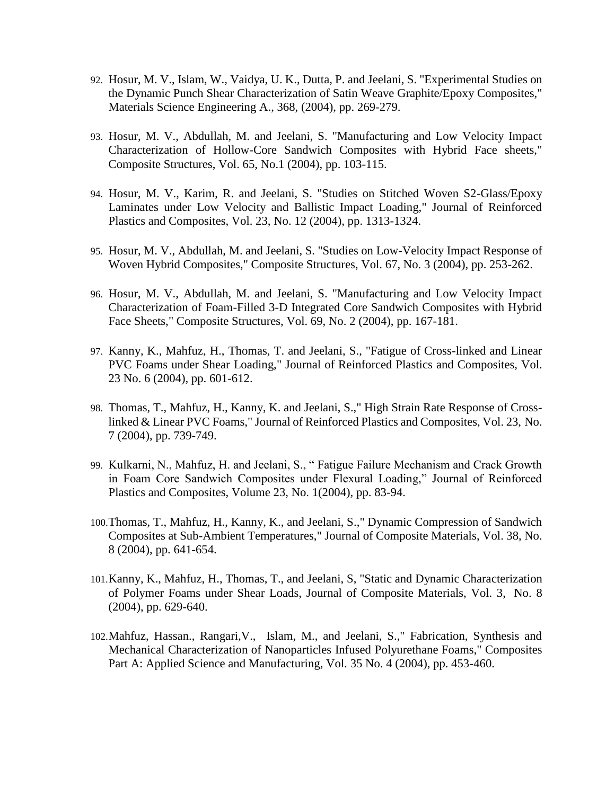- 92. Hosur, M. V., Islam, W., Vaidya, U. K., Dutta, P. and Jeelani, S. "Experimental Studies on the Dynamic Punch Shear Characterization of Satin Weave Graphite/Epoxy Composites," Materials Science Engineering A., 368, (2004), pp. 269-279.
- 93. Hosur, M. V., Abdullah, M. and Jeelani, S. "Manufacturing and Low Velocity Impact Characterization of Hollow-Core Sandwich Composites with Hybrid Face sheets," Composite Structures, Vol. 65, No.1 (2004), pp. 103-115.
- 94. Hosur, M. V., Karim, R. and Jeelani, S. "Studies on Stitched Woven S2-Glass/Epoxy Laminates under Low Velocity and Ballistic Impact Loading," Journal of Reinforced Plastics and Composites, Vol. 23, No. 12 (2004), pp. 1313-1324.
- 95. Hosur, M. V., Abdullah, M. and Jeelani, S. "Studies on Low-Velocity Impact Response of Woven Hybrid Composites," Composite Structures, Vol. 67, No. 3 (2004), pp. 253-262.
- 96. Hosur, M. V., Abdullah, M. and Jeelani, S. "Manufacturing and Low Velocity Impact Characterization of Foam-Filled 3-D Integrated Core Sandwich Composites with Hybrid Face Sheets," Composite Structures, Vol. 69, No. 2 (2004), pp. 167-181.
- 97. Kanny, K., Mahfuz, H., Thomas, T. and Jeelani, S., "Fatigue of Cross-linked and Linear PVC Foams under Shear Loading," Journal of Reinforced Plastics and Composites, Vol. 23 No. 6 (2004), pp. 601-612.
- 98. Thomas, T., Mahfuz, H., Kanny, K. and Jeelani, S.," High Strain Rate Response of Crosslinked & Linear PVC Foams," Journal of Reinforced Plastics and Composites, Vol. 23, No. 7 (2004), pp. 739-749.
- 99. Kulkarni, N., Mahfuz, H. and Jeelani, S., " Fatigue Failure Mechanism and Crack Growth in Foam Core Sandwich Composites under Flexural Loading," Journal of Reinforced Plastics and Composites, Volume 23, No. 1(2004), pp. 83-94.
- 100.Thomas, T., Mahfuz, H., Kanny, K., and Jeelani, S.," Dynamic Compression of Sandwich Composites at Sub-Ambient Temperatures," Journal of Composite Materials, Vol. 38, No. 8 (2004), pp. 641-654.
- 101.Kanny, K., Mahfuz, H., Thomas, T., and Jeelani, S, "Static and Dynamic Characterization of Polymer Foams under Shear Loads, Journal of Composite Materials, Vol. 3, No. 8 (2004), pp. 629-640.
- 102.Mahfuz, Hassan., Rangari,V., Islam, M., and Jeelani, S.," Fabrication, Synthesis and Mechanical Characterization of Nanoparticles Infused Polyurethane Foams," Composites Part A: Applied Science and Manufacturing, Vol. 35 No. 4 (2004), pp. 453-460.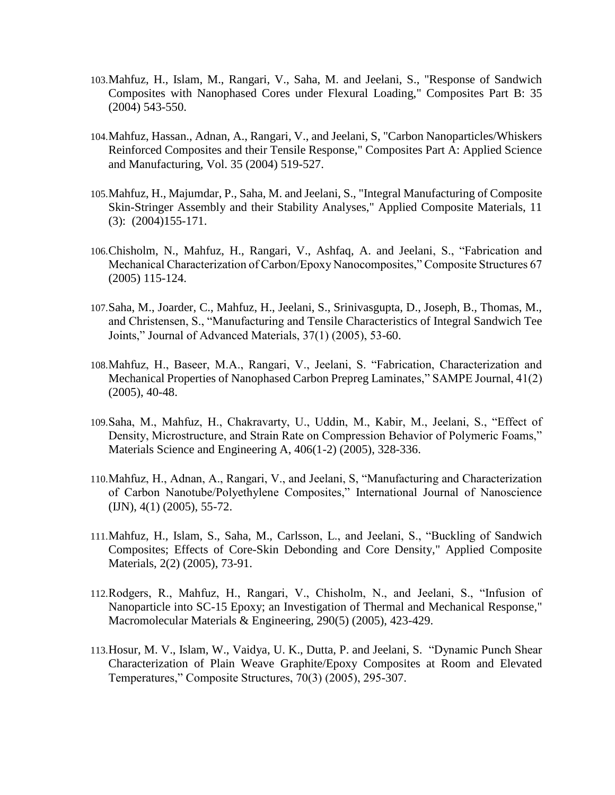- 103.Mahfuz, H., Islam, M., Rangari, V., Saha, M. and Jeelani, S., "Response of Sandwich Composites with Nanophased Cores under Flexural Loading," Composites Part B: 35 (2004) 543-550.
- 104.Mahfuz, Hassan., Adnan, A., Rangari, V., and Jeelani, S, "Carbon Nanoparticles/Whiskers Reinforced Composites and their Tensile Response," Composites Part A: Applied Science and Manufacturing, Vol. 35 (2004) 519-527.
- 105.Mahfuz, H., Majumdar, P., Saha, M. and Jeelani, S., "Integral Manufacturing of Composite Skin-Stringer Assembly and their Stability Analyses," Applied Composite Materials, 11 (3): (2004)155-171.
- 106.Chisholm, N., Mahfuz, H., Rangari, V., Ashfaq, A. and Jeelani, S., "Fabrication and Mechanical Characterization of Carbon/Epoxy Nanocomposites," Composite Structures 67 (2005) 115-124.
- 107.Saha, M., Joarder, C., Mahfuz, H., Jeelani, S., Srinivasgupta, D., Joseph, B., Thomas, M., and Christensen, S., "Manufacturing and Tensile Characteristics of Integral Sandwich Tee Joints," Journal of Advanced Materials, 37(1) (2005), 53-60.
- 108.Mahfuz, H., Baseer, M.A., Rangari, V., Jeelani, S. "Fabrication, Characterization and Mechanical Properties of Nanophased Carbon Prepreg Laminates," SAMPE Journal, 41(2) (2005), 40-48.
- 109.Saha, M., Mahfuz, H., Chakravarty, U., Uddin, M., Kabir, M., Jeelani, S., "Effect of Density, Microstructure, and Strain Rate on Compression Behavior of Polymeric Foams," Materials Science and Engineering A, 406(1-2) (2005), 328-336.
- 110.Mahfuz, H., Adnan, A., Rangari, V., and Jeelani, S, "Manufacturing and Characterization of Carbon Nanotube/Polyethylene Composites," International Journal of Nanoscience (IJN), 4(1) (2005), 55-72.
- 111.Mahfuz, H., Islam, S., Saha, M., Carlsson, L., and Jeelani, S., "Buckling of Sandwich Composites; Effects of Core-Skin Debonding and Core Density," Applied Composite Materials, 2(2) (2005), 73-91.
- 112.Rodgers, R., Mahfuz, H., Rangari, V., Chisholm, N., and Jeelani, S., "Infusion of Nanoparticle into SC-15 Epoxy; an Investigation of Thermal and Mechanical Response," Macromolecular Materials & Engineering, 290(5) (2005), 423-429.
- 113.Hosur, M. V., Islam, W., Vaidya, U. K., Dutta, P. and Jeelani, S. "Dynamic Punch Shear Characterization of Plain Weave Graphite/Epoxy Composites at Room and Elevated Temperatures," Composite Structures, 70(3) (2005), 295-307.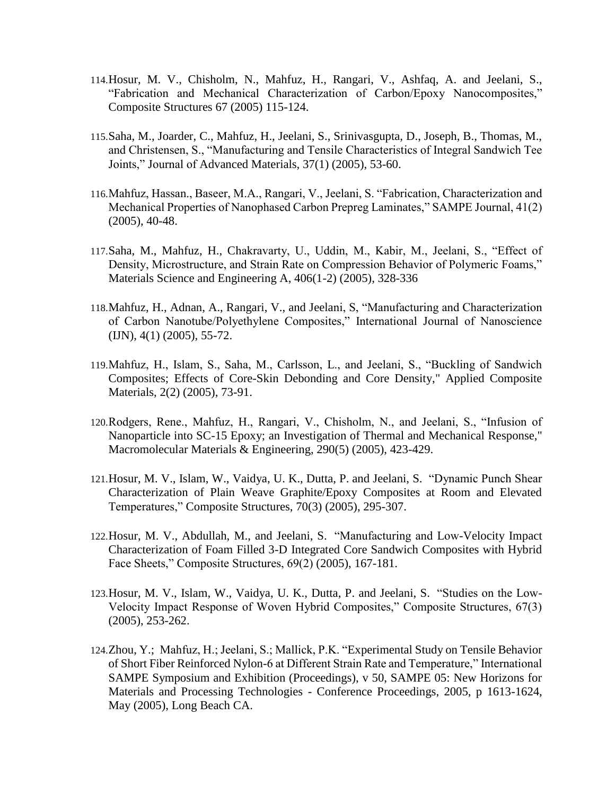- 114.Hosur, M. V., Chisholm, N., Mahfuz, H., Rangari, V., Ashfaq, A. and Jeelani, S., "Fabrication and Mechanical Characterization of Carbon/Epoxy Nanocomposites," Composite Structures 67 (2005) 115-124.
- 115.Saha, M., Joarder, C., Mahfuz, H., Jeelani, S., Srinivasgupta, D., Joseph, B., Thomas, M., and Christensen, S., "Manufacturing and Tensile Characteristics of Integral Sandwich Tee Joints," Journal of Advanced Materials, 37(1) (2005), 53-60.
- 116.Mahfuz, Hassan., Baseer, M.A., Rangari, V., Jeelani, S. "Fabrication, Characterization and Mechanical Properties of Nanophased Carbon Prepreg Laminates," SAMPE Journal, 41(2) (2005), 40-48.
- 117.Saha, M., Mahfuz, H., Chakravarty, U., Uddin, M., Kabir, M., Jeelani, S., "Effect of Density, Microstructure, and Strain Rate on Compression Behavior of Polymeric Foams," Materials Science and Engineering A, 406(1-2) (2005), 328-336
- 118.Mahfuz, H., Adnan, A., Rangari, V., and Jeelani, S, "Manufacturing and Characterization of Carbon Nanotube/Polyethylene Composites," International Journal of Nanoscience (IJN), 4(1) (2005), 55-72.
- 119.Mahfuz, H., Islam, S., Saha, M., Carlsson, L., and Jeelani, S., "Buckling of Sandwich Composites; Effects of Core-Skin Debonding and Core Density," Applied Composite Materials, 2(2) (2005), 73-91.
- 120.Rodgers, Rene., Mahfuz, H., Rangari, V., Chisholm, N., and Jeelani, S., "Infusion of Nanoparticle into SC-15 Epoxy; an Investigation of Thermal and Mechanical Response," Macromolecular Materials & Engineering, 290(5) (2005), 423-429.
- 121.Hosur, M. V., Islam, W., Vaidya, U. K., Dutta, P. and Jeelani, S. "Dynamic Punch Shear Characterization of Plain Weave Graphite/Epoxy Composites at Room and Elevated Temperatures," Composite Structures, 70(3) (2005), 295-307.
- 122.Hosur, M. V., Abdullah, M., and Jeelani, S. "Manufacturing and Low-Velocity Impact Characterization of Foam Filled 3-D Integrated Core Sandwich Composites with Hybrid Face Sheets," Composite Structures, 69(2) (2005), 167-181.
- 123.Hosur, M. V., Islam, W., Vaidya, U. K., Dutta, P. and Jeelani, S. "Studies on the Low-Velocity Impact Response of Woven Hybrid Composites," Composite Structures, 67(3) (2005), 253-262.
- 124.Zhou, Y.; Mahfuz, H.; Jeelani, S.; Mallick, P.K. "Experimental Study on Tensile Behavior of Short Fiber Reinforced Nylon-6 at Different Strain Rate and Temperature," International SAMPE Symposium and Exhibition (Proceedings), v 50, SAMPE 05: New Horizons for Materials and Processing Technologies - Conference Proceedings, 2005, p 1613-1624, May (2005), Long Beach CA.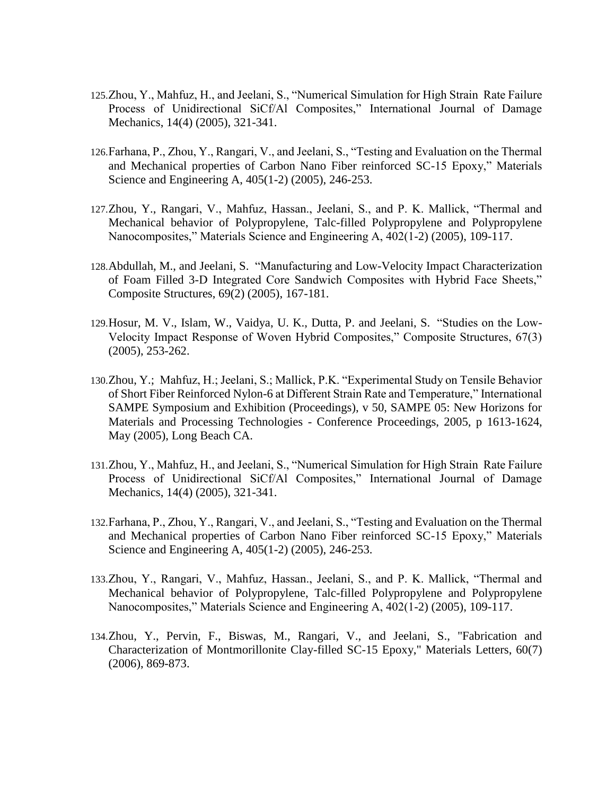- 125.Zhou, Y., Mahfuz, H., and Jeelani, S., "Numerical Simulation for High Strain Rate Failure Process of Unidirectional SiCf/Al Composites," International Journal of Damage Mechanics, 14(4) (2005), 321-341.
- 126.Farhana, P., Zhou, Y., Rangari, V., and Jeelani, S., "Testing and Evaluation on the Thermal and Mechanical properties of Carbon Nano Fiber reinforced SC-15 Epoxy," Materials Science and Engineering A, 405(1-2) (2005), 246-253.
- 127.Zhou, Y., Rangari, V., Mahfuz, Hassan., Jeelani, S., and P. K. Mallick, "Thermal and Mechanical behavior of Polypropylene, Talc-filled Polypropylene and Polypropylene Nanocomposites," Materials Science and Engineering A, 402(1-2) (2005), 109-117.
- 128.Abdullah, M., and Jeelani, S. "Manufacturing and Low-Velocity Impact Characterization of Foam Filled 3-D Integrated Core Sandwich Composites with Hybrid Face Sheets," Composite Structures, 69(2) (2005), 167-181.
- 129.Hosur, M. V., Islam, W., Vaidya, U. K., Dutta, P. and Jeelani, S. "Studies on the Low-Velocity Impact Response of Woven Hybrid Composites," Composite Structures, 67(3) (2005), 253-262.
- 130.Zhou, Y.; Mahfuz, H.; Jeelani, S.; Mallick, P.K. "Experimental Study on Tensile Behavior of Short Fiber Reinforced Nylon-6 at Different Strain Rate and Temperature," International SAMPE Symposium and Exhibition (Proceedings), v 50, SAMPE 05: New Horizons for Materials and Processing Technologies - Conference Proceedings, 2005, p 1613-1624, May (2005), Long Beach CA.
- 131.Zhou, Y., Mahfuz, H., and Jeelani, S., "Numerical Simulation for High Strain Rate Failure Process of Unidirectional SiCf/Al Composites," International Journal of Damage Mechanics, 14(4) (2005), 321-341.
- 132.Farhana, P., Zhou, Y., Rangari, V., and Jeelani, S., "Testing and Evaluation on the Thermal and Mechanical properties of Carbon Nano Fiber reinforced SC-15 Epoxy," Materials Science and Engineering A, 405(1-2) (2005), 246-253.
- 133.Zhou, Y., Rangari, V., Mahfuz, Hassan., Jeelani, S., and P. K. Mallick, "Thermal and Mechanical behavior of Polypropylene, Talc-filled Polypropylene and Polypropylene Nanocomposites," Materials Science and Engineering A, 402(1-2) (2005), 109-117.
- 134.Zhou, Y., Pervin, F., Biswas, M., Rangari, V., and Jeelani, S., "Fabrication and Characterization of Montmorillonite Clay-filled SC-15 Epoxy," Materials Letters, 60(7) (2006), 869-873.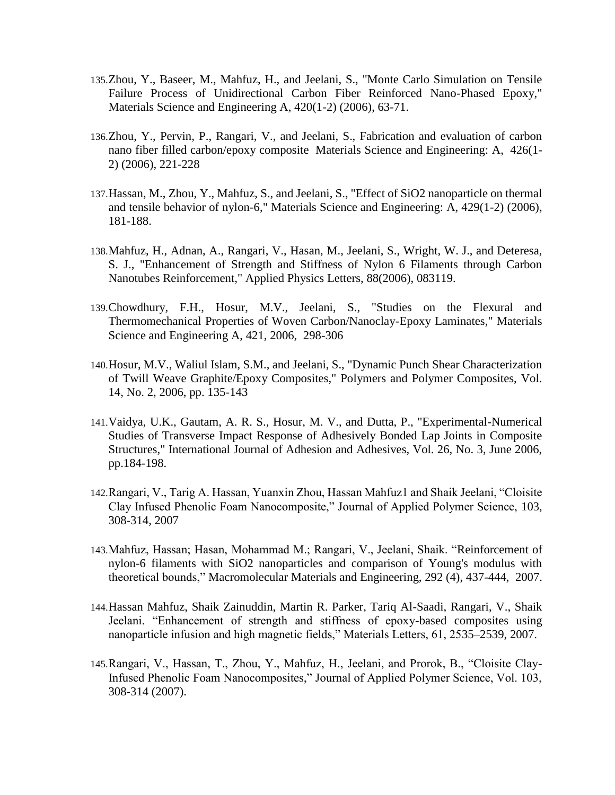- 135.Zhou, Y., Baseer, M., Mahfuz, H., and Jeelani, S., "Monte Carlo Simulation on Tensile Failure Process of Unidirectional Carbon Fiber Reinforced Nano-Phased Epoxy," Materials Science and Engineering A, 420(1-2) (2006), 63-71.
- 136.Zhou, Y., Pervin, P., Rangari, V., and Jeelani, S., Fabrication and evaluation of carbon nano fiber filled carbon/epoxy composite Materials Science and Engineering: A, 426(1- 2) (2006), 221-228
- 137.Hassan, M., Zhou, Y., Mahfuz, S., and Jeelani, S., "Effect of SiO2 nanoparticle on thermal and tensile behavior of nylon-6," Materials Science and Engineering: A, 429(1-2) (2006), 181-188.
- 138.Mahfuz, H., Adnan, A., Rangari, V., Hasan, M., Jeelani, S., Wright, W. J., and Deteresa, S. J., "Enhancement of Strength and Stiffness of Nylon 6 Filaments through Carbon Nanotubes Reinforcement," Applied Physics Letters, 88(2006), 083119.
- 139.Chowdhury, F.H., Hosur, M.V., Jeelani, S., "Studies on the Flexural and Thermomechanical Properties of Woven Carbon/Nanoclay-Epoxy Laminates," Materials Science and Engineering A, 421, 2006, 298-306
- 140.Hosur, M.V., Waliul Islam, S.M., and Jeelani, S., "Dynamic Punch Shear Characterization of Twill Weave Graphite/Epoxy Composites," Polymers and Polymer Composites, Vol. 14, No. 2, 2006, pp. 135-143
- 141.Vaidya, U.K., Gautam, A. R. S., Hosur, M. V., and Dutta, P., "Experimental-Numerical Studies of Transverse Impact Response of Adhesively Bonded Lap Joints in Composite Structures," International Journal of Adhesion and Adhesives, Vol. 26, No. 3, June 2006, pp.184-198.
- 142.Rangari, V., Tarig A. Hassan, Yuanxin Zhou, Hassan Mahfuz1 and Shaik Jeelani, "Cloisite Clay Infused Phenolic Foam Nanocomposite," Journal of Applied Polymer Science, 103, 308-314, 2007
- 143.Mahfuz, Hassan; Hasan, Mohammad M.; Rangari, V., Jeelani, Shaik. "Reinforcement of nylon-6 filaments with SiO2 nanoparticles and comparison of Young's modulus with theoretical bounds," Macromolecular Materials and Engineering, 292 (4), 437-444, 2007.
- 144.Hassan Mahfuz, Shaik Zainuddin, Martin R. Parker, Tariq Al-Saadi, Rangari, V., Shaik Jeelani. "Enhancement of strength and stiffness of epoxy-based composites using nanoparticle infusion and high magnetic fields," Materials Letters, 61, 2535–2539, 2007.
- 145.Rangari, V., Hassan, T., Zhou, Y., Mahfuz, H., Jeelani, and Prorok, B., "Cloisite Clay-Infused Phenolic Foam Nanocomposites," Journal of Applied Polymer Science, Vol. 103, 308-314 (2007).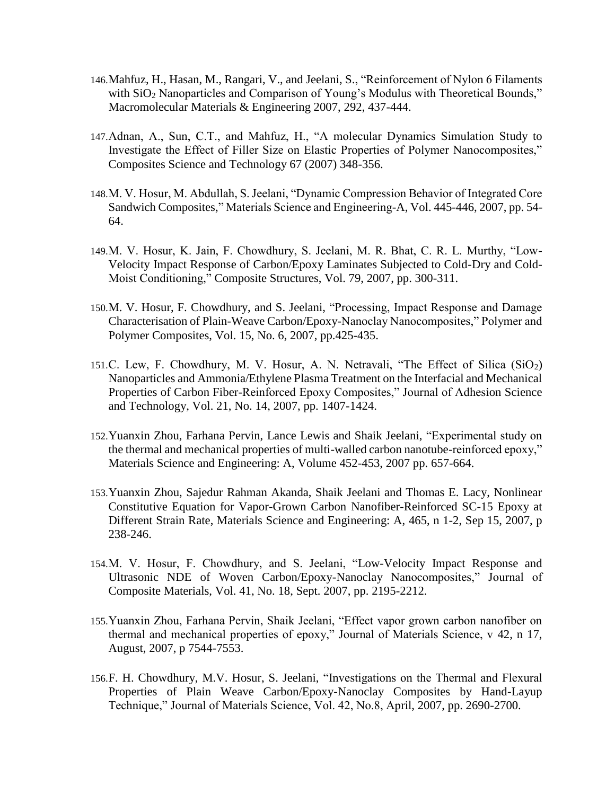- 146.Mahfuz, H., Hasan, M., Rangari, V., and Jeelani, S., "Reinforcement of Nylon 6 Filaments with SiO<sub>2</sub> Nanoparticles and Comparison of Young's Modulus with Theoretical Bounds," Macromolecular Materials & Engineering 2007, 292, 437-444.
- 147.Adnan, A., Sun, C.T., and Mahfuz, H., "A molecular Dynamics Simulation Study to Investigate the Effect of Filler Size on Elastic Properties of Polymer Nanocomposites," Composites Science and Technology 67 (2007) 348-356.
- 148.M. V. Hosur, M. Abdullah, S. Jeelani, "Dynamic Compression Behavior of Integrated Core Sandwich Composites," Materials Science and Engineering-A, Vol. 445-446, 2007, pp. 54- 64.
- 149.M. V. Hosur, K. Jain, F. Chowdhury, S. Jeelani, M. R. Bhat, C. R. L. Murthy, "Low-Velocity Impact Response of Carbon/Epoxy Laminates Subjected to Cold-Dry and Cold-Moist Conditioning," Composite Structures, Vol. 79, 2007, pp. 300-311.
- 150.M. V. Hosur, F. Chowdhury, and S. Jeelani, "Processing, Impact Response and Damage Characterisation of Plain-Weave Carbon/Epoxy-Nanoclay Nanocomposites," Polymer and Polymer Composites, Vol. 15, No. 6, 2007, pp.425-435.
- 151.C. Lew, F. Chowdhury, M. V. Hosur, A. N. Netravali, "The Effect of Silica (SiO2) Nanoparticles and Ammonia/Ethylene Plasma Treatment on the Interfacial and Mechanical Properties of Carbon Fiber-Reinforced Epoxy Composites," Journal of Adhesion Science and Technology, Vol. 21, No. 14, 2007, pp. 1407-1424.
- 152.Yuanxin Zhou, Farhana Pervin, Lance Lewis and Shaik Jeelani, "Experimental study on the thermal and mechanical properties of multi-walled carbon nanotube-reinforced epoxy," Materials Science and Engineering: A, Volume 452-453, 2007 pp. 657-664.
- 153.Yuanxin Zhou, Sajedur Rahman Akanda, Shaik Jeelani and Thomas E. Lacy, Nonlinear Constitutive Equation for Vapor-Grown Carbon Nanofiber-Reinforced SC-15 Epoxy at Different Strain Rate, Materials Science and Engineering: A, 465, n 1-2, Sep 15, 2007, p 238-246.
- 154.M. V. Hosur, F. Chowdhury, and S. Jeelani, "Low-Velocity Impact Response and Ultrasonic NDE of Woven Carbon/Epoxy-Nanoclay Nanocomposites," Journal of Composite Materials, Vol. 41, No. 18, Sept. 2007, pp. 2195-2212.
- 155.Yuanxin Zhou, Farhana Pervin, Shaik Jeelani, "Effect vapor grown carbon nanofiber on thermal and mechanical properties of epoxy," Journal of Materials Science, v 42, n 17, August, 2007, p 7544-7553.
- 156.F. H. Chowdhury, M.V. Hosur, S. Jeelani, "Investigations on the Thermal and Flexural Properties of Plain Weave Carbon/Epoxy-Nanoclay Composites by Hand-Layup Technique," Journal of Materials Science, Vol. 42, No.8, April, 2007, pp. 2690-2700.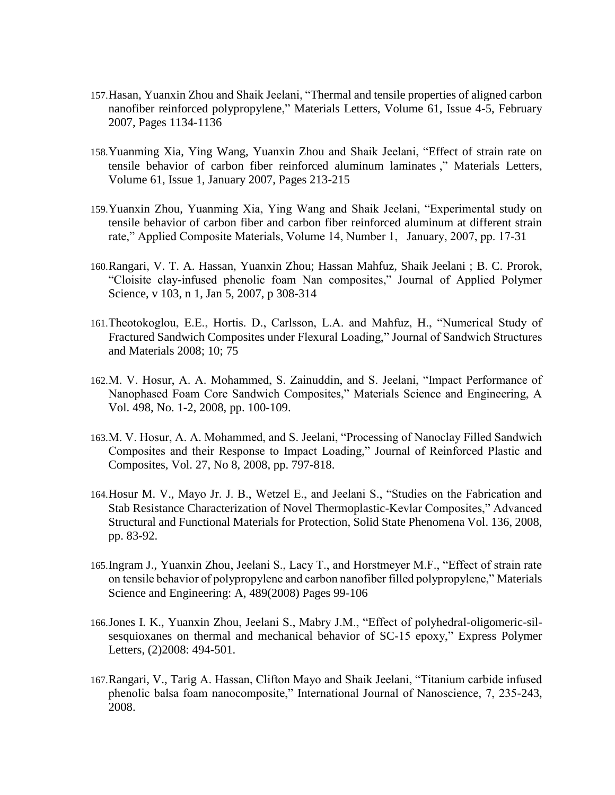- 157.Hasan, Yuanxin Zhou and Shaik Jeelani, "Thermal and tensile properties of aligned carbon nanofiber reinforced polypropylene," Materials Letters, Volume 61, Issue 4-5, February 2007, Pages 1134-1136
- 158.Yuanming Xia, Ying Wang, Yuanxin Zhou and Shaik Jeelani, "Effect of strain rate on tensile behavior of carbon fiber reinforced aluminum laminates ," Materials Letters, Volume 61, Issue 1, January 2007, Pages 213-215
- 159.Yuanxin Zhou, Yuanming Xia, Ying Wang and Shaik Jeelani, "Experimental study on tensile behavior of carbon fiber and carbon fiber reinforced aluminum at different strain rate," Applied Composite Materials, Volume 14, Number 1, January, 2007, pp. 17-31
- 160.Rangari, V. T. A. Hassan, Yuanxin Zhou; Hassan Mahfuz, Shaik Jeelani ; B. C. Prorok, "Cloisite clay-infused phenolic foam Nan composites," Journal of Applied Polymer Science, v 103, n 1, Jan 5, 2007, p 308-314
- 161.Theotokoglou, E.E., Hortis. D., Carlsson, L.A. and Mahfuz, H., "Numerical Study of Fractured Sandwich Composites under Flexural Loading," Journal of Sandwich Structures and Materials 2008; 10; 75
- 162.M. V. Hosur, A. A. Mohammed, S. Zainuddin, and S. Jeelani, "Impact Performance of Nanophased Foam Core Sandwich Composites," Materials Science and Engineering, A Vol. 498, No. 1-2, 2008, pp. 100-109.
- 163.M. V. Hosur, A. A. Mohammed, and S. Jeelani, "Processing of Nanoclay Filled Sandwich Composites and their Response to Impact Loading," Journal of Reinforced Plastic and Composites, Vol. 27, No 8, 2008, pp. 797-818.
- 164.Hosur M. V., Mayo Jr. J. B., Wetzel E., and Jeelani S., "Studies on the Fabrication and Stab Resistance Characterization of Novel Thermoplastic-Kevlar Composites," Advanced Structural and Functional Materials for Protection, Solid State Phenomena Vol. 136, 2008, pp. 83-92.
- 165.Ingram J., Yuanxin Zhou, Jeelani S., Lacy T., and Horstmeyer M.F., "Effect of strain rate on tensile behavior of polypropylene and carbon nanofiber filled polypropylene," Materials Science and Engineering: A, 489(2008) Pages 99-106
- 166.Jones I. K., Yuanxin Zhou, Jeelani S., Mabry J.M., "Effect of polyhedral-oligomeric-silsesquioxanes on thermal and mechanical behavior of SC-15 epoxy," Express Polymer Letters, (2)2008: 494-501.
- 167.Rangari, V., Tarig A. Hassan, Clifton Mayo and Shaik Jeelani, "Titanium carbide infused phenolic balsa foam nanocomposite," International Journal of Nanoscience, 7, 235-243, 2008.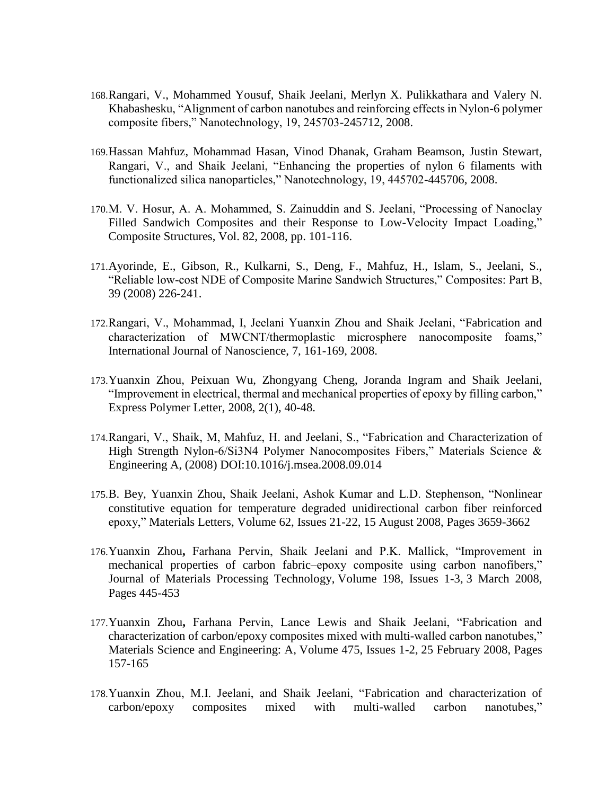- 168.Rangari, V., Mohammed Yousuf, Shaik Jeelani, Merlyn X. Pulikkathara and Valery N. Khabashesku, "Alignment of carbon nanotubes and reinforcing effects in Nylon-6 polymer composite fibers," Nanotechnology, 19, 245703-245712, 2008.
- 169.Hassan Mahfuz, Mohammad Hasan, Vinod Dhanak, Graham Beamson, Justin Stewart, Rangari, V., and Shaik Jeelani, "Enhancing the properties of nylon 6 filaments with functionalized silica nanoparticles," Nanotechnology, 19, 445702-445706, 2008.
- 170.M. V. Hosur, A. A. Mohammed, S. Zainuddin and S. Jeelani, "Processing of Nanoclay Filled Sandwich Composites and their Response to Low-Velocity Impact Loading," Composite Structures, Vol. 82, 2008, pp. 101-116.
- 171.Ayorinde, E., Gibson, R., Kulkarni, S., Deng, F., Mahfuz, H., Islam, S., Jeelani, S., "Reliable low-cost NDE of Composite Marine Sandwich Structures," Composites: Part B, 39 (2008) 226-241.
- 172.Rangari, V., Mohammad, I, Jeelani Yuanxin Zhou and Shaik Jeelani, "Fabrication and characterization of MWCNT/thermoplastic microsphere nanocomposite foams," International Journal of Nanoscience, 7, 161-169, 2008.
- 173.Yuanxin Zhou, Peixuan Wu, Zhongyang Cheng, Joranda Ingram and Shaik Jeelani, "Improvement in electrical, thermal and mechanical properties of epoxy by filling carbon," Express Polymer Letter, 2008, 2(1), 40-48.
- 174.Rangari, V., Shaik, M, Mahfuz, H. and Jeelani, S., "Fabrication and Characterization of High Strength Nylon-6/Si3N4 Polymer Nanocomposites Fibers," Materials Science & Engineering A, (2008) DOI:10.1016/j.msea.2008.09.014
- 175.B. Bey, Yuanxin Zhou, Shaik Jeelani, Ashok Kumar and L.D. Stephenson, "Nonlinear constitutive equation for temperature degraded unidirectional carbon fiber reinforced epoxy," Materials Letters, Volume 62, Issues 21-22, 15 August 2008, Pages 3659-3662
- 176.Yuanxin Zhou**,** Farhana Pervin, Shaik Jeelani and P.K. Mallick, "Improvement in mechanical properties of carbon fabric–epoxy composite using carbon nanofibers," Journal of Materials Processing Technology, Volume 198, Issues 1-3, 3 March 2008, Pages 445-453
- 177.Yuanxin Zhou**,** Farhana Pervin, Lance Lewis and Shaik Jeelani, "Fabrication and characterization of carbon/epoxy composites mixed with multi-walled carbon nanotubes," Materials Science and Engineering: A, Volume 475, Issues 1-2, 25 February 2008, Pages 157-165
- 178.Yuanxin Zhou, M.I. Jeelani, and Shaik Jeelani, "Fabrication and characterization of carbon/epoxy composites mixed with multi-walled carbon nanotubes,"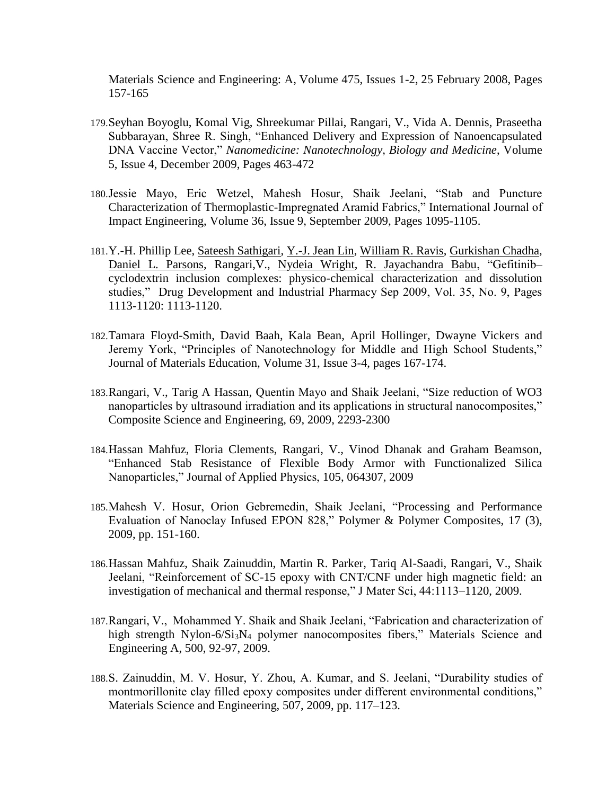Materials Science and Engineering: A, Volume 475, Issues 1-2, 25 February 2008, Pages 157-165

- 179.Seyhan Boyoglu, Komal Vig, Shreekumar Pillai, Rangari, V., Vida A. Dennis, Praseetha Subbarayan, Shree R. Singh, "Enhanced Delivery and Expression of Nanoencapsulated DNA Vaccine Vector," *Nanomedicine: Nanotechnology, Biology and Medicine*, Volume 5, Issue 4, December 2009, Pages 463-472
- 180.Jessie Mayo, Eric Wetzel, Mahesh Hosur, Shaik Jeelani, "Stab and Puncture Characterization of Thermoplastic-Impregnated Aramid Fabrics," International Journal of Impact Engineering, Volume 36, Issue 9, September 2009, Pages 1095-1105.
- 181.Y.-H. Phillip Lee, [Sateesh Sathigari,](http://informahealthcare.com/action/doSearch?action=runSearch&type=advanced&result=true&prevSearch=%2Bauthorsfield%3A%28Sathigari,%20Sateesh%29) [Y.-J. Jean Lin,](http://informahealthcare.com/action/doSearch?action=runSearch&type=advanced&result=true&prevSearch=%2Bauthorsfield%3A%28Jean%20Lin,%20Y.-J.%29) [William R. Ravis,](http://informahealthcare.com/action/doSearch?action=runSearch&type=advanced&result=true&prevSearch=%2Bauthorsfield%3A%28Ravis,%20William%20R.%29) [Gurkishan Chadha,](http://informahealthcare.com/action/doSearch?action=runSearch&type=advanced&result=true&prevSearch=%2Bauthorsfield%3A%28Chadha,%20Gurkishan%29) [Daniel L. Parsons,](http://informahealthcare.com/action/doSearch?action=runSearch&type=advanced&result=true&prevSearch=%2Bauthorsfield%3A%28Parsons,%20Daniel%20L.%29) Rangari,V., [Nydeia Wright,](http://informahealthcare.com/action/doSearch?action=runSearch&type=advanced&result=true&prevSearch=%2Bauthorsfield%3A%28Wright,%20Nydeia%29) [R. Jayachandra Babu,](http://informahealthcare.com/action/doSearch?action=runSearch&type=advanced&result=true&prevSearch=%2Bauthorsfield%3A%28Babu,%20R.%20Jayachandra%29) "Gefitinib– cyclodextrin inclusion complexes: physico-chemical characterization and dissolution studies," Drug Development and Industrial Pharmacy Sep 2009, Vol. 35, No. 9, Pages 1113-1120: 1113-1120.
- 182.Tamara Floyd-Smith, David Baah, Kala Bean, April Hollinger, Dwayne Vickers and Jeremy York, "Principles of Nanotechnology for Middle and High School Students," Journal of Materials Education, Volume 31, Issue 3-4, pages 167-174.
- 183.Rangari, V., Tarig A Hassan, Quentin Mayo and Shaik Jeelani, "Size reduction of WO3 nanoparticles by ultrasound irradiation and its applications in structural nanocomposites," Composite Science and Engineering, 69, 2009, 2293-2300
- 184.Hassan Mahfuz, Floria Clements, Rangari, V., Vinod Dhanak and Graham Beamson, "Enhanced Stab Resistance of Flexible Body Armor with Functionalized Silica Nanoparticles," Journal of Applied Physics, 105, 064307, 2009
- 185.Mahesh V. Hosur, Orion Gebremedin, Shaik Jeelani, "Processing and Performance Evaluation of Nanoclay Infused EPON 828," Polymer & Polymer Composites, 17 (3), 2009, pp. 151-160.
- 186.Hassan Mahfuz, Shaik Zainuddin, Martin R. Parker, Tariq Al-Saadi, Rangari, V., Shaik Jeelani, "Reinforcement of SC-15 epoxy with CNT/CNF under high magnetic field: an investigation of mechanical and thermal response," J Mater Sci, 44:1113–1120, 2009.
- 187.Rangari, V., Mohammed Y. Shaik and Shaik Jeelani, "Fabrication and characterization of high strength Nylon-6/Si<sub>3</sub>N<sub>4</sub> polymer nanocomposites fibers," Materials Science and Engineering A, 500, 92-97, 2009.
- 188.S. Zainuddin, M. V. Hosur, Y. Zhou, A. Kumar, and S. Jeelani, "Durability studies of montmorillonite clay filled epoxy composites under different environmental conditions," Materials Science and Engineering, 507, 2009, pp. 117–123.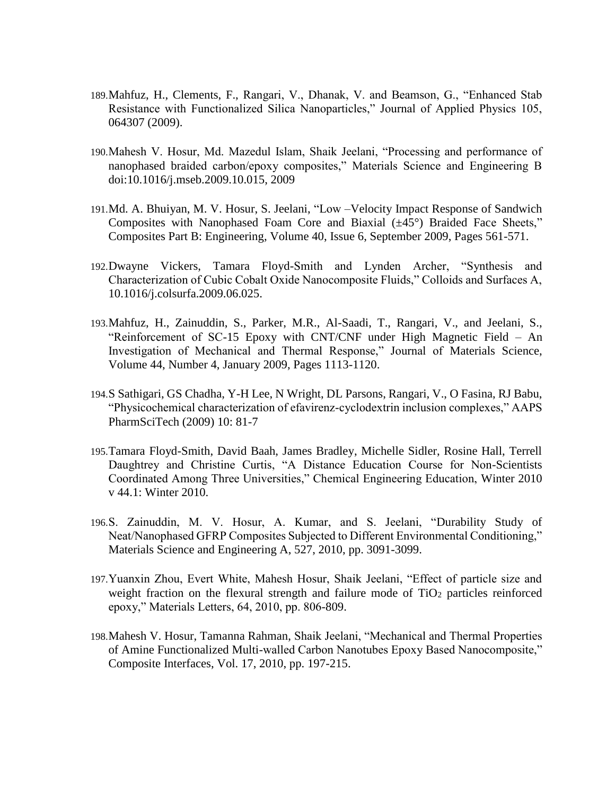- 189.Mahfuz, H., Clements, F., Rangari, V., Dhanak, V. and Beamson, G., "Enhanced Stab Resistance with Functionalized Silica Nanoparticles," Journal of Applied Physics 105, 064307 (2009).
- 190.Mahesh V. Hosur, Md. Mazedul Islam, Shaik Jeelani, "Processing and performance of nanophased braided carbon/epoxy composites," Materials Science and Engineering B doi:10.1016/j.mseb.2009.10.015, 2009
- 191.Md. A. Bhuiyan, M. V. Hosur, S. Jeelani, "Low –Velocity Impact Response of Sandwich Composites with Nanophased Foam Core and Biaxial (±45°) Braided Face Sheets," Composites Part B: Engineering, Volume 40, Issue 6, September 2009, Pages 561-571.
- 192.Dwayne Vickers, Tamara Floyd-Smith and Lynden Archer, "Synthesis and Characterization of Cubic Cobalt Oxide Nanocomposite Fluids," Colloids and Surfaces A, 10.1016/j.colsurfa.2009.06.025.
- 193.Mahfuz, H., Zainuddin, S., Parker, M.R., Al-Saadi, T., Rangari, V., and Jeelani, S., "Reinforcement of SC-15 Epoxy with CNT/CNF under High Magnetic Field – An Investigation of Mechanical and Thermal Response," Journal of Materials Science, Volume 44, Number 4, January 2009, Pages 1113-1120.
- 194.S Sathigari, GS Chadha, Y-H Lee, N Wright, DL Parsons, Rangari, V., O Fasina, RJ Babu, "Physicochemical characterization of efavirenz-cyclodextrin inclusion complexes," AAPS PharmSciTech (2009) 10: 81-7
- 195.Tamara Floyd-Smith, David Baah, James Bradley, Michelle Sidler, Rosine Hall, Terrell Daughtrey and Christine Curtis, "A Distance Education Course for Non-Scientists Coordinated Among Three Universities," Chemical Engineering Education, Winter 2010 v 44.1: Winter 2010.
- 196.S. Zainuddin, M. V. Hosur, A. Kumar, and S. Jeelani, "Durability Study of Neat/Nanophased GFRP Composites Subjected to Different Environmental Conditioning," Materials Science and Engineering A, 527, 2010, pp. 3091-3099.
- 197.Yuanxin Zhou, Evert White, Mahesh Hosur, Shaik Jeelani, "Effect of particle size and weight fraction on the flexural strength and failure mode of  $TiO<sub>2</sub>$  particles reinforced epoxy," Materials Letters, 64, 2010, pp. 806-809.
- 198.Mahesh V. Hosur, Tamanna Rahman, Shaik Jeelani, "Mechanical and Thermal Properties of Amine Functionalized Multi-walled Carbon Nanotubes Epoxy Based Nanocomposite," Composite Interfaces, Vol. 17, 2010, pp. 197-215.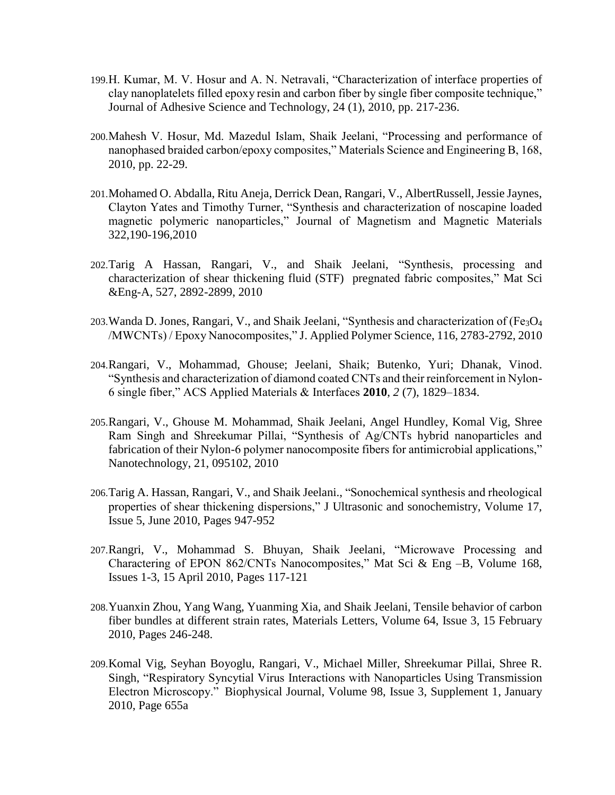- 199.H. Kumar, M. V. Hosur and A. N. Netravali, "Characterization of interface properties of clay nanoplatelets filled epoxy resin and carbon fiber by single fiber composite technique," Journal of Adhesive Science and Technology, 24 (1), 2010, pp. 217-236.
- 200.Mahesh V. Hosur, Md. Mazedul Islam, Shaik Jeelani, "Processing and performance of nanophased braided carbon/epoxy composites," Materials Science and Engineering B, 168, 2010, pp. 22-29.
- 201.Mohamed O. Abdalla, Ritu Aneja, Derrick Dean, Rangari, V., AlbertRussell, Jessie Jaynes, Clayton Yates and Timothy Turner, "Synthesis and characterization of noscapine loaded magnetic polymeric nanoparticles," Journal of Magnetism and Magnetic Materials 322,190-196,2010
- 202.Tarig A Hassan, Rangari, V., and Shaik Jeelani, "Synthesis, processing and characterization of shear thickening fluid (STF) pregnated fabric composites," Mat Sci &Eng-A, 527, 2892-2899, 2010
- 203. Wanda D. Jones, Rangari, V., and Shaik Jeelani, "Synthesis and characterization of  $(Fe<sub>3</sub>O<sub>4</sub>)$ /MWCNTs) / Epoxy Nanocomposites," J. Applied Polymer Science, 116, 2783-2792, 2010
- 204.Rangari, V., Mohammad, Ghouse; Jeelani, Shaik; Butenko, Yuri; Dhanak, Vinod. "Synthesis and characterization of diamond coated CNTs and their reinforcement in Nylon-6 single fiber," ACS Applied Materials & Interfaces **2010**, *2* (7), 1829–1834.
- 205.Rangari, V., Ghouse M. Mohammad, Shaik Jeelani, Angel Hundley, Komal Vig, Shree Ram Singh and Shreekumar Pillai, "Synthesis of Ag/CNTs hybrid nanoparticles and fabrication of their Nylon-6 polymer nanocomposite fibers for antimicrobial applications," Nanotechnology, 21, 095102, 2010
- 206.Tarig A. Hassan, Rangari, V., and Shaik Jeelani., "Sonochemical synthesis and rheological properties of shear thickening dispersions," J Ultrasonic and sonochemistry, Volume 17, Issue 5, June 2010, Pages 947-952
- 207.Rangri, V., Mohammad S. Bhuyan, Shaik Jeelani, "Microwave Processing and Charactering of EPON 862/CNTs Nanocomposites," Mat Sci & Eng –B, Volume 168, Issues 1-3, 15 April 2010, Pages 117-121
- 208.Yuanxin Zhou, Yang Wang, Yuanming Xia, and Shaik Jeelani, Tensile behavior of carbon fiber bundles at different strain rates, Materials Letters, Volume 64, Issue 3, 15 February 2010, Pages 246-248.
- 209.Komal Vig, Seyhan Boyoglu, Rangari, V., Michael Miller, Shreekumar Pillai, Shree R. Singh, "Respiratory Syncytial Virus Interactions with Nanoparticles Using Transmission Electron Microscopy." Biophysical Journal, Volume 98, Issue 3, Supplement 1, January 2010, Page 655a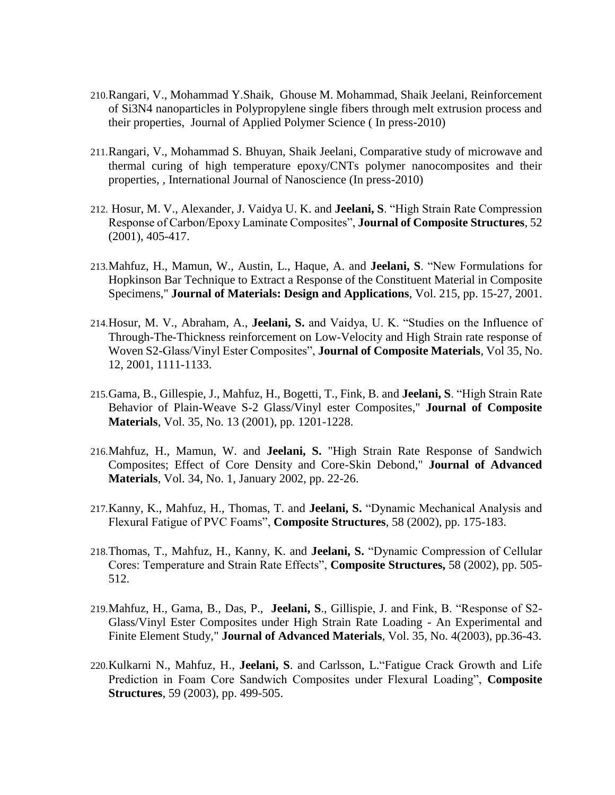- 210.Rangari, V., Mohammad Y.Shaik, Ghouse M. Mohammad, Shaik Jeelani, Reinforcement of Si3N4 nanoparticles in Polypropylene single fibers through melt extrusion process and their properties, Journal of Applied Polymer Science ( In press-2010)
- 211.Rangari, V., Mohammad S. Bhuyan, Shaik Jeelani, Comparative study of microwave and thermal curing of high temperature epoxy/CNTs polymer nanocomposites and their properties, , International Journal of Nanoscience (In press-2010)
- 212. Hosur, M. V., Alexander, J. Vaidya U. K. and **Jeelani, S**. "High Strain Rate Compression Response of Carbon/Epoxy Laminate Composites", **Journal of Composite Structures**, 52 (2001), 405-417.
- 213.Mahfuz, H., Mamun, W., Austin, L., Haque, A. and **Jeelani, S**. "New Formulations for Hopkinson Bar Technique to Extract a Response of the Constituent Material in Composite Specimens," **Journal of Materials: Design and Applications**, Vol. 215, pp. 15-27, 2001.
- 214.Hosur, M. V., Abraham, A., **Jeelani, S.** and Vaidya, U. K. "Studies on the Influence of Through-The-Thickness reinforcement on Low-Velocity and High Strain rate response of Woven S2-Glass/Vinyl Ester Composites", **Journal of Composite Materials**, Vol 35, No. 12, 2001, 1111-1133.
- 215.Gama, B., Gillespie, J., Mahfuz, H., Bogetti, T., Fink, B. and **Jeelani, S**. "High Strain Rate Behavior of Plain-Weave S-2 Glass/Vinyl ester Composites," **Journal of Composite Materials**, Vol. 35, No. 13 (2001), pp. 1201-1228.
- 216.Mahfuz, H., Mamun, W. and **Jeelani, S.** "High Strain Rate Response of Sandwich Composites; Effect of Core Density and Core-Skin Debond," **Journal of Advanced Materials**, Vol. 34, No. 1, January 2002, pp. 22-26.
- 217.Kanny, K., Mahfuz, H., Thomas, T. and **Jeelani, S.** "Dynamic Mechanical Analysis and Flexural Fatigue of PVC Foams", **Composite Structures**, 58 (2002), pp. 175-183.
- 218.Thomas, T., Mahfuz, H., Kanny, K. and **Jeelani, S.** "Dynamic Compression of Cellular Cores: Temperature and Strain Rate Effects", **Composite Structures,** 58 (2002), pp. 505- 512.
- 219.Mahfuz, H., Gama, B., Das, P., **Jeelani, S**., Gillispie, J. and Fink, B. "Response of S2- Glass/Vinyl Ester Composites under High Strain Rate Loading - An Experimental and Finite Element Study," **Journal of Advanced Materials**, Vol. 35, No. 4(2003), pp.36-43.
- 220.Kulkarni N., Mahfuz, H., **Jeelani, S**. and Carlsson, L."Fatigue Crack Growth and Life Prediction in Foam Core Sandwich Composites under Flexural Loading", **Composite Structures**, 59 (2003), pp. 499-505.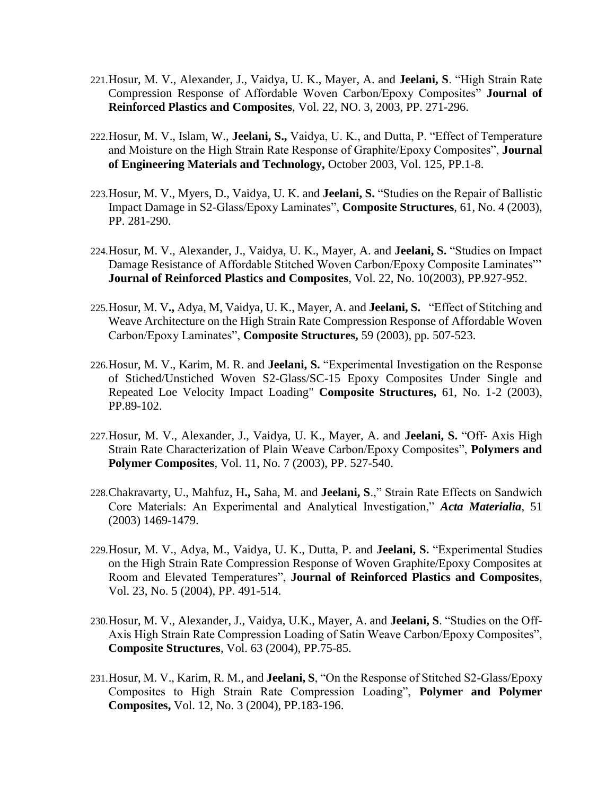- 221.Hosur, M. V., Alexander, J., Vaidya, U. K., Mayer, A. and **Jeelani, S**. "High Strain Rate Compression Response of Affordable Woven Carbon/Epoxy Composites" **Journal of Reinforced Plastics and Composites**, Vol. 22, NO. 3, 2003, PP. 271-296.
- 222.Hosur, M. V., Islam, W., **Jeelani, S.,** Vaidya, U. K., and Dutta, P. "Effect of Temperature and Moisture on the High Strain Rate Response of Graphite/Epoxy Composites", **Journal of Engineering Materials and Technology,** October 2003, Vol. 125, PP.1-8.
- 223.Hosur, M. V., Myers, D., Vaidya, U. K. and **Jeelani, S.** "Studies on the Repair of Ballistic Impact Damage in S2-Glass/Epoxy Laminates", **Composite Structures**, 61, No. 4 (2003), PP. 281-290.
- 224.Hosur, M. V., Alexander, J., Vaidya, U. K., Mayer, A. and **Jeelani, S.** "Studies on Impact Damage Resistance of Affordable Stitched Woven Carbon/Epoxy Composite Laminates"' **Journal of Reinforced Plastics and Composites**, Vol. 22, No. 10(2003), PP.927-952.
- 225.Hosur, M. V**.,** Adya, M, Vaidya, U. K., Mayer, A. and **Jeelani, S.** "Effect of Stitching and Weave Architecture on the High Strain Rate Compression Response of Affordable Woven Carbon/Epoxy Laminates", **Composite Structures,** 59 (2003), pp. 507-523.
- 226.Hosur, M. V., Karim, M. R. and **Jeelani, S.** "Experimental Investigation on the Response of Stiched/Unstiched Woven S2-Glass/SC-15 Epoxy Composites Under Single and Repeated Loe Velocity Impact Loading" **Composite Structures,** 61, No. 1-2 (2003), PP.89-102.
- 227.Hosur, M. V., Alexander, J., Vaidya, U. K., Mayer, A. and **Jeelani, S.** "Off- Axis High Strain Rate Characterization of Plain Weave Carbon/Epoxy Composites", **Polymers and Polymer Composites**, Vol. 11, No. 7 (2003), PP. 527-540.
- 228.Chakravarty, U., Mahfuz, H**.,** Saha, M. and **Jeelani, S**.," Strain Rate Effects on Sandwich Core Materials: An Experimental and Analytical Investigation," *Acta Materialia*, 51 (2003) 1469-1479.
- 229.Hosur, M. V., Adya, M., Vaidya, U. K., Dutta, P. and **Jeelani, S.** "Experimental Studies on the High Strain Rate Compression Response of Woven Graphite/Epoxy Composites at Room and Elevated Temperatures", **Journal of Reinforced Plastics and Composites**, Vol. 23, No. 5 (2004), PP. 491-514.
- 230.Hosur, M. V., Alexander, J., Vaidya, U.K., Mayer, A. and **Jeelani, S**. "Studies on the Off-Axis High Strain Rate Compression Loading of Satin Weave Carbon/Epoxy Composites", **Composite Structures**, Vol. 63 (2004), PP.75-85.
- 231.Hosur, M. V., Karim, R. M., and **Jeelani, S**, "On the Response of Stitched S2-Glass/Epoxy Composites to High Strain Rate Compression Loading", **Polymer and Polymer Composites,** Vol. 12, No. 3 (2004), PP.183-196.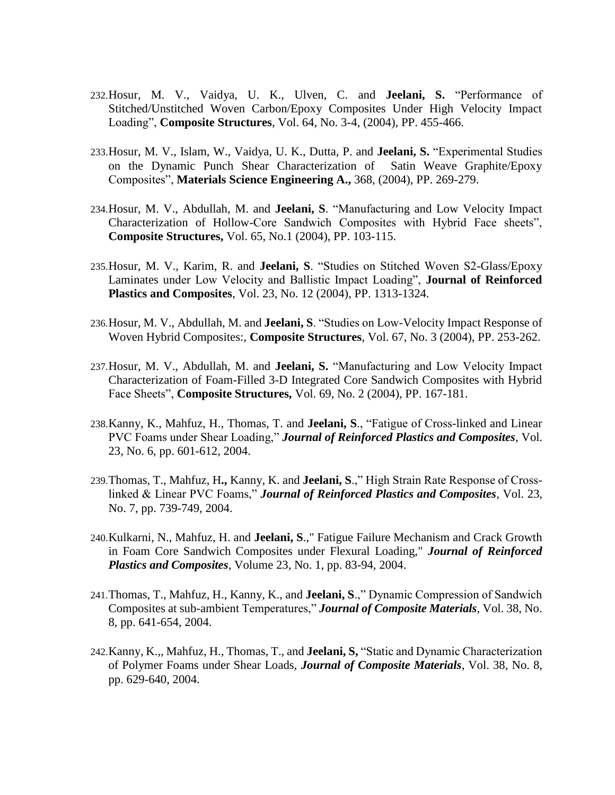- 232.Hosur, M. V., Vaidya, U. K., Ulven, C. and **Jeelani, S.** "Performance of Stitched/Unstitched Woven Carbon/Epoxy Composites Under High Velocity Impact Loading", **Composite Structures**, Vol. 64, No. 3-4, (2004), PP. 455-466.
- 233.Hosur, M. V., Islam, W., Vaidya, U. K., Dutta, P. and **Jeelani, S.** "Experimental Studies on the Dynamic Punch Shear Characterization of Satin Weave Graphite/Epoxy Composites", **Materials Science Engineering A.,** 368, (2004), PP. 269-279.
- 234.Hosur, M. V., Abdullah, M. and **Jeelani, S**. "Manufacturing and Low Velocity Impact Characterization of Hollow-Core Sandwich Composites with Hybrid Face sheets", **Composite Structures,** Vol. 65, No.1 (2004), PP. 103-115.
- 235.Hosur, M. V., Karim, R. and **Jeelani, S**. "Studies on Stitched Woven S2-Glass/Epoxy Laminates under Low Velocity and Ballistic Impact Loading", **Journal of Reinforced Plastics and Composites**, Vol. 23, No. 12 (2004), PP. 1313-1324.
- 236.Hosur, M. V., Abdullah, M. and **Jeelani, S**. "Studies on Low-Velocity Impact Response of Woven Hybrid Composites:, **Composite Structures**, Vol. 67, No. 3 (2004), PP. 253-262.
- 237.Hosur, M. V., Abdullah, M. and **Jeelani, S.** "Manufacturing and Low Velocity Impact Characterization of Foam-Filled 3-D Integrated Core Sandwich Composites with Hybrid Face Sheets", **Composite Structures,** Vol. 69, No. 2 (2004), PP. 167-181.
- 238.Kanny, K., Mahfuz, H., Thomas, T. and **Jeelani, S**., "Fatigue of Cross-linked and Linear PVC Foams under Shear Loading," *Journal of Reinforced Plastics and Composites*, Vol. 23, No. 6, pp. 601-612, 2004.
- 239.Thomas, T., Mahfuz, H**.,** Kanny, K. and **Jeelani, S**.," High Strain Rate Response of Crosslinked & Linear PVC Foams," *Journal of Reinforced Plastics and Composites*, Vol. 23, No. 7, pp. 739-749, 2004.
- 240.Kulkarni, N., Mahfuz, H. and **Jeelani, S**.," Fatigue Failure Mechanism and Crack Growth in Foam Core Sandwich Composites under Flexural Loading," *Journal of Reinforced Plastics and Composites*, Volume 23, No. 1, pp. 83-94, 2004.
- 241.Thomas, T., Mahfuz, H., Kanny, K., and **Jeelani, S**.," Dynamic Compression of Sandwich Composites at sub-ambient Temperatures," *Journal of Composite Materials*, Vol. 38, No. 8, pp. 641-654, 2004.
- 242.Kanny, K.,, Mahfuz, H., Thomas, T., and **Jeelani, S,** "Static and Dynamic Characterization of Polymer Foams under Shear Loads, *Journal of Composite Materials*, Vol. 38, No. 8, pp. 629-640, 2004.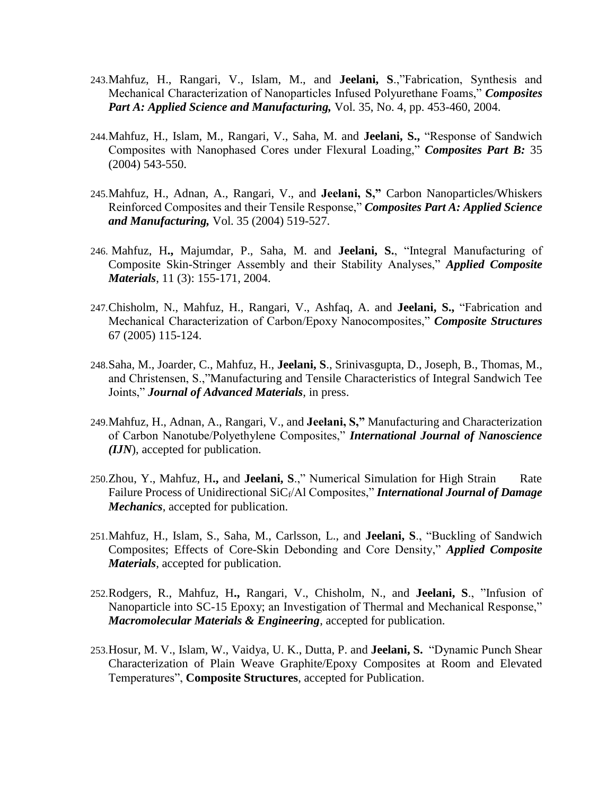- 243.Mahfuz, H., Rangari, V., Islam, M., and **Jeelani, S**.,"Fabrication, Synthesis and Mechanical Characterization of Nanoparticles Infused Polyurethane Foams," *Composites Part A: Applied Science and Manufacturing,* Vol. 35, No. 4, pp. 453-460, 2004.
- 244.Mahfuz, H., Islam, M., Rangari, V., Saha, M. and **Jeelani, S.,** "Response of Sandwich Composites with Nanophased Cores under Flexural Loading," *Composites Part B:* 35 (2004) 543-550.
- 245.Mahfuz, H., Adnan, A., Rangari, V., and **Jeelani, S,"** Carbon Nanoparticles/Whiskers Reinforced Composites and their Tensile Response," *Composites Part A: Applied Science and Manufacturing,* Vol. 35 (2004) 519-527.
- 246. Mahfuz, H**.,** Majumdar, P., Saha, M. and **Jeelani, S.**, "Integral Manufacturing of Composite Skin-Stringer Assembly and their Stability Analyses," *Applied Composite Materials*, 11 (3): 155-171, 2004.
- 247.Chisholm, N., Mahfuz, H., Rangari, V., Ashfaq, A. and **Jeelani, S.,** "Fabrication and Mechanical Characterization of Carbon/Epoxy Nanocomposites," *Composite Structures* 67 (2005) 115-124.
- 248.Saha, M., Joarder, C., Mahfuz, H., **Jeelani, S**., Srinivasgupta, D., Joseph, B., Thomas, M., and Christensen, S.,"Manufacturing and Tensile Characteristics of Integral Sandwich Tee Joints," *Journal of Advanced Materials*, in press.
- 249.Mahfuz, H., Adnan, A., Rangari, V., and **Jeelani, S,"** Manufacturing and Characterization of Carbon Nanotube/Polyethylene Composites," *International Journal of Nanoscience (IJN*), accepted for publication.
- 250.Zhou, Y., Mahfuz, H., and **Jeelani, S.**," Numerical Simulation for High Strain Rate Failure Process of Unidirectional SiC<sub>f</sub>/Al Composites," **International Journal of Damage** *Mechanics*, accepted for publication.
- 251.Mahfuz, H., Islam, S., Saha, M., Carlsson, L., and **Jeelani, S**., "Buckling of Sandwich Composites; Effects of Core-Skin Debonding and Core Density," *Applied Composite Materials*, accepted for publication.
- 252.Rodgers, R., Mahfuz, H**.,** Rangari, V., Chisholm, N., and **Jeelani, S**., "Infusion of Nanoparticle into SC-15 Epoxy; an Investigation of Thermal and Mechanical Response," *Macromolecular Materials & Engineering*, accepted for publication.
- 253.Hosur, M. V., Islam, W., Vaidya, U. K., Dutta, P. and **Jeelani, S.** "Dynamic Punch Shear Characterization of Plain Weave Graphite/Epoxy Composites at Room and Elevated Temperatures", **Composite Structures**, accepted for Publication.